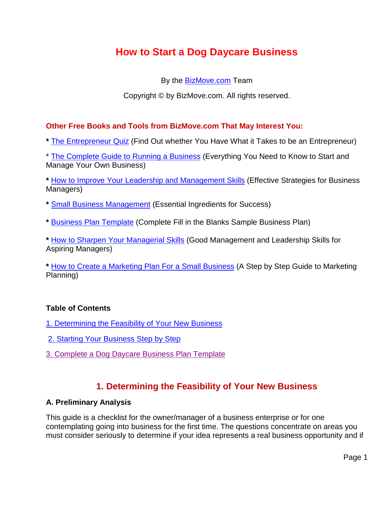# **How to Start a Dog Daycare Business**

By the [BizMove.com](http://www.bizmove.com/) Team

Copyright © by BizMove.com. All rights reserved.

# <span id="page-0-1"></span>**Other Free Books and Tools from BizMove.com That May Interest You:**

**\*** [The Entrepreneur Quiz](http://www.bizmove.com/other/quiz.htm) (Find Out whether You Have What it Takes to be an Entrepreneur)

\* [The Complete Guide to Running a Business](http://www.bizmove.com/small-business-encyclopedia/) (Everything You Need to Know to Start and Manage Your Own Business)

**\*** [How to Improve Your Leadership and Management Skills](http://www.bizmove.com/free-pdf-download/how-to-improve-your-leadership-and-management-skills.htm) (Effective Strategies for Business Managers)

- **\*** [Small Business Management](http://www.bizmove.com/free-pdf-download/small-business-management.htm) (Essential Ingredients for Success)
- **\*** [Business Plan Template](http://www.bizmove.com/free-pdf-download/business-plan-template.htm) (Complete Fill in the Blanks Sample Business Plan)

**\*** [How to Sharpen Your Managerial Skills](http://www.bizmove.com/books/how-to-sharpen-your-managerial-skills.htm) (Good Management and Leadership Skills for Aspiring Managers)

**\*** [How to Create a Marketing Plan For a Small Business](http://www.bizmove.com/books/how-to-create-a-marketing-plan-for-a-small-business.htm) (A Step by Step Guide to Marketing Planning)

## **Table of Contents**

- [1. Determining the Feasibility of Your New Business](#page-0-0)
- [2. Starting Your Business Step by Step](#page-11-0)
- [3. Complete a Dog Daycare Business](#page-26-0) Plan Template

# **1. Determining the Feasibility of Your New Business**

## <span id="page-0-0"></span>**A. Preliminary Analysis**

This guide is a checklist for the owner/manager of a business enterprise or for one contemplating going into business for the first time. The questions concentrate on areas you must consider seriously to determine if your idea represents a real business opportunity and if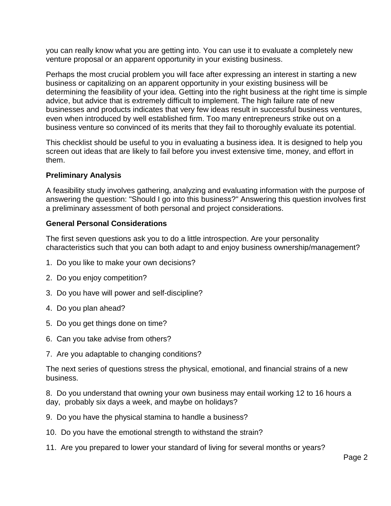you can really know what you are getting into. You can use it to evaluate a completely new venture proposal or an apparent opportunity in your existing business.

Perhaps the most crucial problem you will face after expressing an interest in starting a new business or capitalizing on an apparent opportunity in your existing business will be determining the feasibility of your idea. Getting into the right business at the right time is simple advice, but advice that is extremely difficult to implement. The high failure rate of new businesses and products indicates that very few ideas result in successful business ventures, even when introduced by well established firm. Too many entrepreneurs strike out on a business venture so convinced of its merits that they fail to thoroughly evaluate its potential.

This checklist should be useful to you in evaluating a business idea. It is designed to help you screen out ideas that are likely to fail before you invest extensive time, money, and effort in them.

## **Preliminary Analysis**

A feasibility study involves gathering, analyzing and evaluating information with the purpose of answering the question: "Should I go into this business?" Answering this question involves first a preliminary assessment of both personal and project considerations.

## **General Personal Considerations**

The first seven questions ask you to do a little introspection. Are your personality characteristics such that you can both adapt to and enjoy business ownership/management?

- 1. Do you like to make your own decisions?
- 2. Do you enjoy competition?
- 3. Do you have will power and self-discipline?
- 4. Do you plan ahead?
- 5. Do you get things done on time?
- 6. Can you take advise from others?
- 7. Are you adaptable to changing conditions?

The next series of questions stress the physical, emotional, and financial strains of a new business.

8. Do you understand that owning your own business may entail working 12 to 16 hours a day, probably six days a week, and maybe on holidays?

- 9. Do you have the physical stamina to handle a business?
- 10. Do you have the emotional strength to withstand the strain?
- 11. Are you prepared to lower your standard of living for several months or years?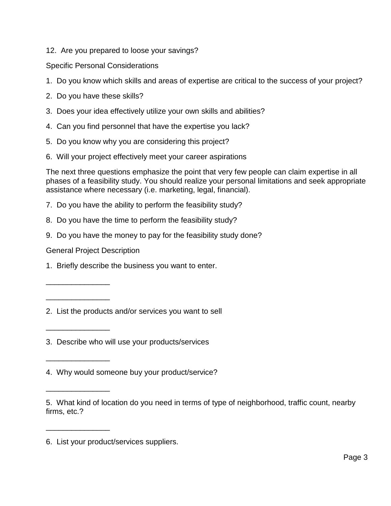12. Are you prepared to loose your savings?

Specific Personal Considerations

- 1. Do you know which skills and areas of expertise are critical to the success of your project?
- 2. Do you have these skills?
- 3. Does your idea effectively utilize your own skills and abilities?
- 4. Can you find personnel that have the expertise you lack?
- 5. Do you know why you are considering this project?
- 6. Will your project effectively meet your career aspirations

The next three questions emphasize the point that very few people can claim expertise in all phases of a feasibility study. You should realize your personal limitations and seek appropriate assistance where necessary (i.e. marketing, legal, financial).

- 7. Do you have the ability to perform the feasibility study?
- 8. Do you have the time to perform the feasibility study?
- 9. Do you have the money to pay for the feasibility study done?

General Project Description

\_\_\_\_\_\_\_\_\_\_\_\_\_\_\_

 $\overline{\phantom{a}}$  , where  $\overline{\phantom{a}}$ 

\_\_\_\_\_\_\_\_\_\_\_\_\_\_\_

\_\_\_\_\_\_\_\_\_\_\_\_\_\_\_

\_\_\_\_\_\_\_\_\_\_\_\_\_\_\_

\_\_\_\_\_\_\_\_\_\_\_\_\_\_\_

1. Briefly describe the business you want to enter.

4. Why would someone buy your product/service?

<sup>2.</sup> List the products and/or services you want to sell

<sup>3.</sup> Describe who will use your products/services

<sup>5.</sup> What kind of location do you need in terms of type of neighborhood, traffic count, nearby firms, etc.?

<sup>6.</sup> List your product/services suppliers.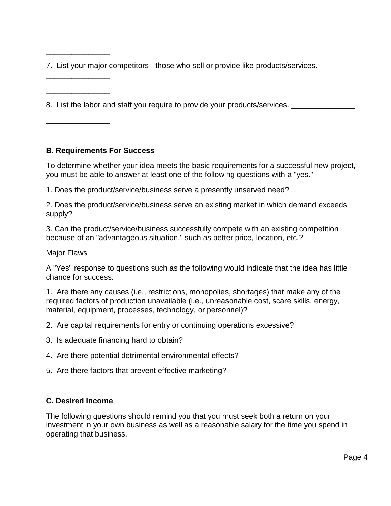7. List your major competitors - those who sell or provide like products/services.

8. List the labor and staff you require to provide your products/services.

 $\overline{\phantom{a}}$  , where  $\overline{\phantom{a}}$ 

\_\_\_\_\_\_\_\_\_\_\_\_\_\_\_

\_\_\_\_\_\_\_\_\_\_\_\_\_\_\_

\_\_\_\_\_\_\_\_\_\_\_\_\_\_\_

# **B. Requirements For Success**

To determine whether your idea meets the basic requirements for a successful new project, you must be able to answer at least one of the following questions with a "yes."

1. Does the product/service/business serve a presently unserved need?

2. Does the product/service/business serve an existing market in which demand exceeds supply?

3. Can the product/service/business successfully compete with an existing competition because of an "advantageous situation," such as better price, location, etc.?

# Major Flaws

A "Yes" response to questions such as the following would indicate that the idea has little chance for success.

1. Are there any causes (i.e., restrictions, monopolies, shortages) that make any of the required factors of production unavailable (i.e., unreasonable cost, scare skills, energy, material, equipment, processes, technology, or personnel)?

2. Are capital requirements for entry or continuing operations excessive?

- 3. Is adequate financing hard to obtain?
- 4. Are there potential detrimental environmental effects?
- 5. Are there factors that prevent effective marketing?

# **C. Desired Income**

The following questions should remind you that you must seek both a return on your investment in your own business as well as a reasonable salary for the time you spend in operating that business.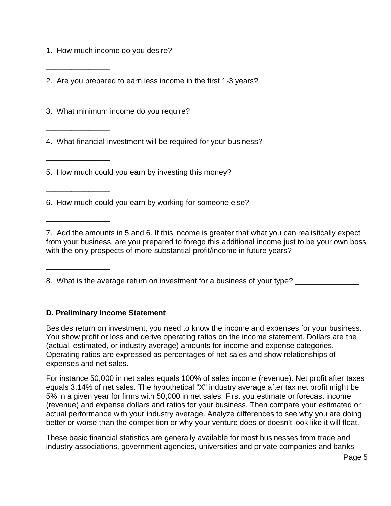1. How much income do you desire?

\_\_\_\_\_\_\_\_\_\_\_\_\_\_\_

\_\_\_\_\_\_\_\_\_\_\_\_\_\_\_

 $\overline{\phantom{a}}$  , where  $\overline{\phantom{a}}$ 

\_\_\_\_\_\_\_\_\_\_\_\_\_\_\_

\_\_\_\_\_\_\_\_\_\_\_\_\_\_\_

\_\_\_\_\_\_\_\_\_\_\_\_\_\_\_

 $\overline{\phantom{a}}$  , where  $\overline{\phantom{a}}$ 

2. Are you prepared to earn less income in the first 1-3 years?

3. What minimum income do you require?

4. What financial investment will be required for your business?

5. How much could you earn by investing this money?

6. How much could you earn by working for someone else?

7. Add the amounts in 5 and 6. If this income is greater that what you can realistically expect from your business, are you prepared to forego this additional income just to be your own boss with the only prospects of more substantial profit/income in future years?

8. What is the average return on investment for a business of your type?

# **D. Preliminary Income Statement**

Besides return on investment, you need to know the income and expenses for your business. You show profit or loss and derive operating ratios on the income statement. Dollars are the (actual, estimated, or industry average) amounts for income and expense categories. Operating ratios are expressed as percentages of net sales and show relationships of expenses and net sales.

For instance 50,000 in net sales equals 100% of sales income (revenue). Net profit after taxes equals 3.14% of net sales. The hypothetical "X" industry average after tax net profit might be 5% in a given year for firms with 50,000 in net sales. First you estimate or forecast income (revenue) and expense dollars and ratios for your business. Then compare your estimated or actual performance with your industry average. Analyze differences to see why you are doing better or worse than the competition or why your venture does or doesn't look like it will float.

These basic financial statistics are generally available for most businesses from trade and industry associations, government agencies, universities and private companies and banks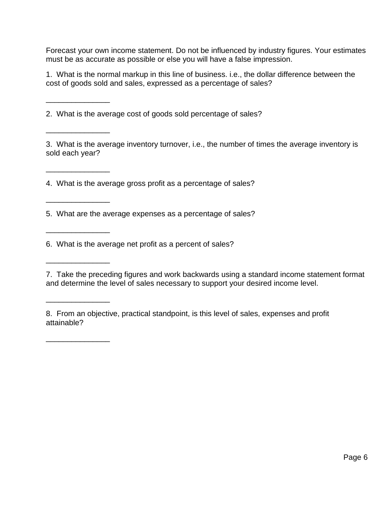Forecast your own income statement. Do not be influenced by industry figures. Your estimates must be as accurate as possible or else you will have a false impression.

1. What is the normal markup in this line of business. i.e., the dollar difference between the cost of goods sold and sales, expressed as a percentage of sales?

2. What is the average cost of goods sold percentage of sales?

 $\overline{\phantom{a}}$  , where  $\overline{\phantom{a}}$ 

\_\_\_\_\_\_\_\_\_\_\_\_\_\_\_

\_\_\_\_\_\_\_\_\_\_\_\_\_\_\_

\_\_\_\_\_\_\_\_\_\_\_\_\_\_\_

\_\_\_\_\_\_\_\_\_\_\_\_\_\_\_

\_\_\_\_\_\_\_\_\_\_\_\_\_\_\_

 $\overline{\phantom{a}}$  , where  $\overline{\phantom{a}}$ 

\_\_\_\_\_\_\_\_\_\_\_\_\_\_\_

3. What is the average inventory turnover, i.e., the number of times the average inventory is sold each year?

4. What is the average gross profit as a percentage of sales?

5. What are the average expenses as a percentage of sales?

6. What is the average net profit as a percent of sales?

7. Take the preceding figures and work backwards using a standard income statement format and determine the level of sales necessary to support your desired income level.

8. From an objective, practical standpoint, is this level of sales, expenses and profit attainable?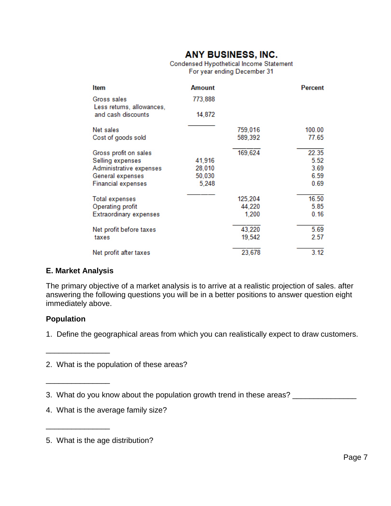# ANY BUSINESS, INC.

Condensed Hypothetical Income Statement For year ending December 31

| <b>Item</b>                              | <b>Amount</b> |         | <b>Percent</b> |
|------------------------------------------|---------------|---------|----------------|
| Gross sales<br>Less returns, allowances, | 773,888       |         |                |
| and cash discounts                       | 14,872        |         |                |
| Net sales                                |               | 759,016 | 100.00         |
| Cost of goods sold                       |               | 589,392 | 77.65          |
| Gross profit on sales                    |               | 169,624 | 22.35          |
| Selling expenses                         | 41,916        |         | 5.52           |
| Administrative expenses                  | 28,010        |         | 3.69           |
| General expenses                         | 50,030        |         | 6.59           |
| <b>Financial expenses</b>                | 5,248         |         | 0.69           |
| <b>Total expenses</b>                    |               | 125,204 | 16.50          |
| Operating profit                         |               | 44,220  | 5.85           |
| <b>Extraordinary expenses</b>            |               | 1,200   | 0.16           |
| Net profit before taxes                  |               | 43,220  | 5.69           |
| taxes                                    |               | 19,542  | 2.57           |
| Net profit after taxes                   |               | 23,678  | 3.12           |

#### **E. Market Analysis**

The primary objective of a market analysis is to arrive at a realistic projection of sales. after answering the following questions you will be in a better positions to answer question eight immediately above.

## **Population**

\_\_\_\_\_\_\_\_\_\_\_\_\_\_\_

\_\_\_\_\_\_\_\_\_\_\_\_\_\_\_

\_\_\_\_\_\_\_\_\_\_\_\_\_\_\_

1. Define the geographical areas from which you can realistically expect to draw customers.

2. What is the population of these areas?

4. What is the average family size?

<sup>3.</sup> What do you know about the population growth trend in these areas? \_\_\_\_\_\_\_\_\_\_\_

<sup>5.</sup> What is the age distribution?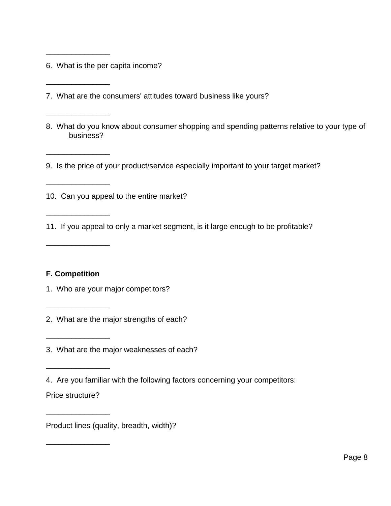6. What is the per capita income?

\_\_\_\_\_\_\_\_\_\_\_\_\_\_\_

\_\_\_\_\_\_\_\_\_\_\_\_\_\_\_

\_\_\_\_\_\_\_\_\_\_\_\_\_\_\_

 $\overline{\phantom{a}}$  , where  $\overline{\phantom{a}}$ 

 $\overline{\phantom{a}}$  , where  $\overline{\phantom{a}}$ 

\_\_\_\_\_\_\_\_\_\_\_\_\_\_\_

\_\_\_\_\_\_\_\_\_\_\_\_\_\_\_

7. What are the consumers' attitudes toward business like yours?

8. What do you know about consumer shopping and spending patterns relative to your type of business?

9. Is the price of your product/service especially important to your target market?

10. Can you appeal to the entire market?

11. If you appeal to only a market segment, is it large enough to be profitable?

**F. Competition**

\_\_\_\_\_\_\_\_\_\_\_\_\_\_\_

\_\_\_\_\_\_\_\_\_\_\_\_\_\_\_

\_\_\_\_\_\_\_\_\_\_\_\_\_\_\_

1. Who are your major competitors?

2. What are the major strengths of each?

3. What are the major weaknesses of each?

4. Are you familiar with the following factors concerning your competitors:

Price structure?

 $\overline{\phantom{a}}$  , where  $\overline{\phantom{a}}$ 

 $\overline{\phantom{a}}$  , where  $\overline{\phantom{a}}$ 

Product lines (quality, breadth, width)?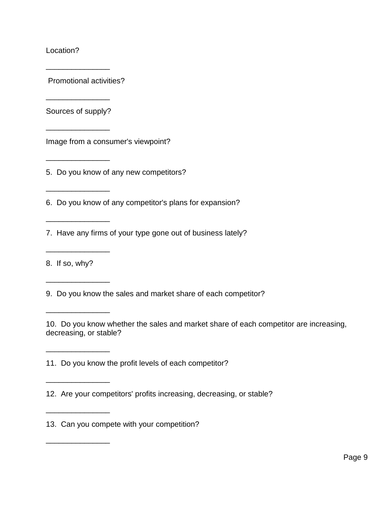Location?

Promotional activities?

Sources of supply?

 $\overline{\phantom{a}}$  , where  $\overline{\phantom{a}}$ 

\_\_\_\_\_\_\_\_\_\_\_\_\_\_\_

\_\_\_\_\_\_\_\_\_\_\_\_\_\_\_

\_\_\_\_\_\_\_\_\_\_\_\_\_\_\_

\_\_\_\_\_\_\_\_\_\_\_\_\_\_\_

\_\_\_\_\_\_\_\_\_\_\_\_\_\_\_

\_\_\_\_\_\_\_\_\_\_\_\_\_\_\_

 $\overline{\phantom{a}}$  , where  $\overline{\phantom{a}}$ 

 $\overline{\phantom{a}}$  , and the contract of the contract of  $\overline{\phantom{a}}$ 

\_\_\_\_\_\_\_\_\_\_\_\_\_\_\_

\_\_\_\_\_\_\_\_\_\_\_\_\_\_\_

\_\_\_\_\_\_\_\_\_\_\_\_\_\_\_

\_\_\_\_\_\_\_\_\_\_\_\_\_\_\_

Image from a consumer's viewpoint?

5. Do you know of any new competitors?

6. Do you know of any competitor's plans for expansion?

7. Have any firms of your type gone out of business lately?

8. If so, why?

9. Do you know the sales and market share of each competitor?

10. Do you know whether the sales and market share of each competitor are increasing, decreasing, or stable?

11. Do you know the profit levels of each competitor?

12. Are your competitors' profits increasing, decreasing, or stable?

13. Can you compete with your competition?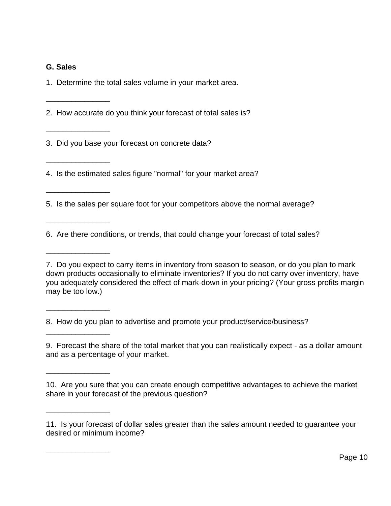# **G. Sales**

 $\overline{\phantom{a}}$  , where  $\overline{\phantom{a}}$ 

 $\overline{\phantom{a}}$  , where  $\overline{\phantom{a}}$ 

\_\_\_\_\_\_\_\_\_\_\_\_\_\_\_

\_\_\_\_\_\_\_\_\_\_\_\_\_\_\_

\_\_\_\_\_\_\_\_\_\_\_\_\_\_\_

\_\_\_\_\_\_\_\_\_\_\_\_\_\_\_

\_\_\_\_\_\_\_\_\_\_\_\_\_\_\_

\_\_\_\_\_\_\_\_\_\_\_\_\_\_\_

\_\_\_\_\_\_\_\_\_\_\_\_\_\_\_

\_\_\_\_\_\_\_\_\_\_\_\_\_\_\_

\_\_\_\_\_\_\_\_\_\_\_\_\_\_\_

1. Determine the total sales volume in your market area.

2. How accurate do you think your forecast of total sales is?

3. Did you base your forecast on concrete data?

4. Is the estimated sales figure "normal" for your market area?

5. Is the sales per square foot for your competitors above the normal average?

6. Are there conditions, or trends, that could change your forecast of total sales?

8. How do you plan to advertise and promote your product/service/business?

9. Forecast the share of the total market that you can realistically expect - as a dollar amount and as a percentage of your market.

10. Are you sure that you can create enough competitive advantages to achieve the market share in your forecast of the previous question?

<sup>7.</sup> Do you expect to carry items in inventory from season to season, or do you plan to mark down products occasionally to eliminate inventories? If you do not carry over inventory, have you adequately considered the effect of mark-down in your pricing? (Your gross profits margin may be too low.)

<sup>11.</sup> Is your forecast of dollar sales greater than the sales amount needed to guarantee your desired or minimum income?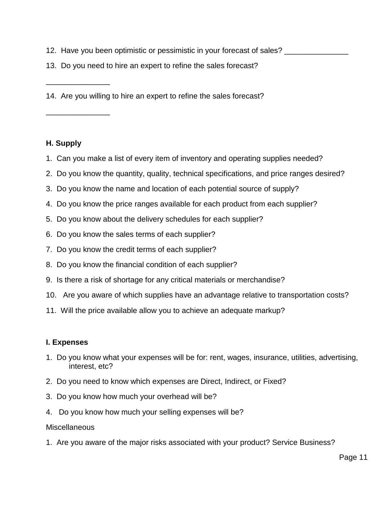- 12. Have you been optimistic or pessimistic in your forecast of sales? \_\_\_\_\_\_\_\_\_
- 13. Do you need to hire an expert to refine the sales forecast?

14. Are you willing to hire an expert to refine the sales forecast?

# **H. Supply**

\_\_\_\_\_\_\_\_\_\_\_\_\_\_\_

\_\_\_\_\_\_\_\_\_\_\_\_\_\_\_

- 1. Can you make a list of every item of inventory and operating supplies needed?
- 2. Do you know the quantity, quality, technical specifications, and price ranges desired?
- 3. Do you know the name and location of each potential source of supply?
- 4. Do you know the price ranges available for each product from each supplier?
- 5. Do you know about the delivery schedules for each supplier?
- 6. Do you know the sales terms of each supplier?
- 7. Do you know the credit terms of each supplier?
- 8. Do you know the financial condition of each supplier?
- 9. Is there a risk of shortage for any critical materials or merchandise?
- 10. Are you aware of which supplies have an advantage relative to transportation costs?
- 11. Will the price available allow you to achieve an adequate markup?

# **I. Expenses**

- 1. Do you know what your expenses will be for: rent, wages, insurance, utilities, advertising, interest, etc?
- 2. Do you need to know which expenses are Direct, Indirect, or Fixed?
- 3. Do you know how much your overhead will be?
- 4. Do you know how much your selling expenses will be?

# **Miscellaneous**

1. Are you aware of the major risks associated with your product? Service Business?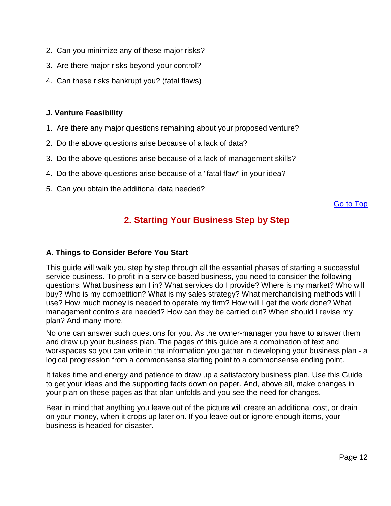- 2. Can you minimize any of these major risks?
- 3. Are there major risks beyond your control?
- 4. Can these risks bankrupt you? (fatal flaws)

# **J. Venture Feasibility**

- 1. Are there any major questions remaining about your proposed venture?
- 2. Do the above questions arise because of a lack of data?
- 3. Do the above questions arise because of a lack of management skills?
- 4. Do the above questions arise because of a "fatal flaw" in your idea?
- <span id="page-11-0"></span>5. Can you obtain the additional data needed?

[Go to Top](#page-0-1)

# **2. Starting Your Business Step by Step**

# **A. Things to Consider Before You Start**

This guide will walk you step by step through all the essential phases of starting a successful service business. To profit in a service based business, you need to consider the following questions: What business am I in? What services do I provide? Where is my market? Who will buy? Who is my competition? What is my sales strategy? What merchandising methods will I use? How much money is needed to operate my firm? How will I get the work done? What management controls are needed? How can they be carried out? When should I revise my plan? And many more.

No one can answer such questions for you. As the owner-manager you have to answer them and draw up your business plan. The pages of this guide are a combination of text and workspaces so you can write in the information you gather in developing your business plan - a logical progression from a commonsense starting point to a commonsense ending point.

It takes time and energy and patience to draw up a satisfactory business plan. Use this Guide to get your ideas and the supporting facts down on paper. And, above all, make changes in your plan on these pages as that plan unfolds and you see the need for changes.

Bear in mind that anything you leave out of the picture will create an additional cost, or drain on your money, when it crops up later on. If you leave out or ignore enough items, your business is headed for disaster.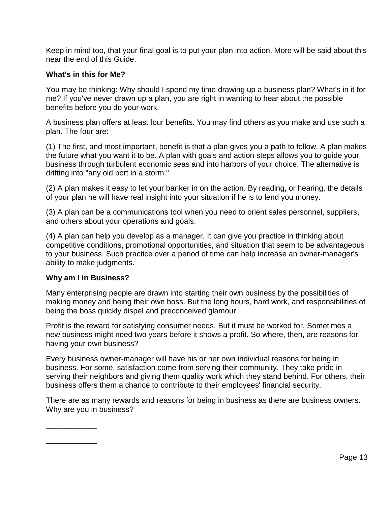Keep in mind too, that your final goal is to put your plan into action. More will be said about this near the end of this Guide.

#### **What's in this for Me?**

You may be thinking: Why should I spend my time drawing up a business plan? What's in it for me? If you've never drawn up a plan, you are right in wanting to hear about the possible benefits before you do your work.

A business plan offers at least four benefits. You may find others as you make and use such a plan. The four are:

(1) The first, and most important, benefit is that a plan gives you a path to follow. A plan makes the future what you want it to be. A plan with goals and action steps allows you to guide your business through turbulent economic seas and into harbors of your choice. The alternative is drifting into "any old port in a storm."

(2) A plan makes it easy to let your banker in on the action. By reading, or hearing, the details of your plan he will have real insight into your situation if he is to lend you money.

(3) A plan can be a communications tool when you need to orient sales personnel, suppliers, and others about your operations and goals.

(4) A plan can help you develop as a manager. It can give you practice in thinking about competitive conditions, promotional opportunities, and situation that seem to be advantageous to your business. Such practice over a period of time can help increase an owner-manager's ability to make judgments.

#### **Why am I in Business?**

Many enterprising people are drawn into starting their own business by the possibilities of making money and being their own boss. But the long hours, hard work, and responsibilities of being the boss quickly dispel and preconceived glamour.

Profit is the reward for satisfying consumer needs. But it must be worked for. Sometimes a new business might need two years before it shows a profit. So where, then, are reasons for having your own business?

Every business owner-manager will have his or her own individual reasons for being in business. For some, satisfaction come from serving their community. They take pride in serving their neighbors and giving them quality work which they stand behind. For others, their business offers them a chance to contribute to their employees' financial security.

There are as many rewards and reasons for being in business as there are business owners. Why are you in business?

\_\_\_\_\_\_\_\_\_\_\_\_ \_\_\_\_\_\_\_\_\_\_\_\_

Page 13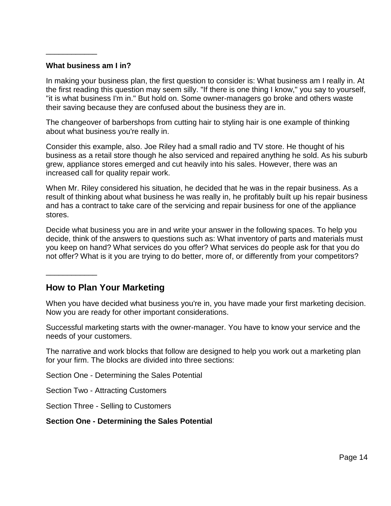# **What business am I in?**

\_\_\_\_\_\_\_\_\_\_\_\_

In making your business plan, the first question to consider is: What business am I really in. At the first reading this question may seem silly. "If there is one thing I know," you say to yourself, "it is what business I'm in." But hold on. Some owner-managers go broke and others waste their saving because they are confused about the business they are in.

The changeover of barbershops from cutting hair to styling hair is one example of thinking about what business you're really in.

Consider this example, also. Joe Riley had a small radio and TV store. He thought of his business as a retail store though he also serviced and repaired anything he sold. As his suburb grew, appliance stores emerged and cut heavily into his sales. However, there was an increased call for quality repair work.

When Mr. Riley considered his situation, he decided that he was in the repair business. As a result of thinking about what business he was really in, he profitably built up his repair business and has a contract to take care of the servicing and repair business for one of the appliance stores.

Decide what business you are in and write your answer in the following spaces. To help you decide, think of the answers to questions such as: What inventory of parts and materials must you keep on hand? What services do you offer? What services do people ask for that you do not offer? What is it you are trying to do better, more of, or differently from your competitors?

# **How to Plan Your Marketing**

 $\overline{\phantom{a}}$  , where  $\overline{\phantom{a}}$ 

When you have decided what business you're in, you have made your first marketing decision. Now you are ready for other important considerations.

Successful marketing starts with the owner-manager. You have to know your service and the needs of your customers.

The narrative and work blocks that follow are designed to help you work out a marketing plan for your firm. The blocks are divided into three sections:

Section One - Determining the Sales Potential

Section Two - Attracting Customers

Section Three - Selling to Customers

## **Section One - Determining the Sales Potential**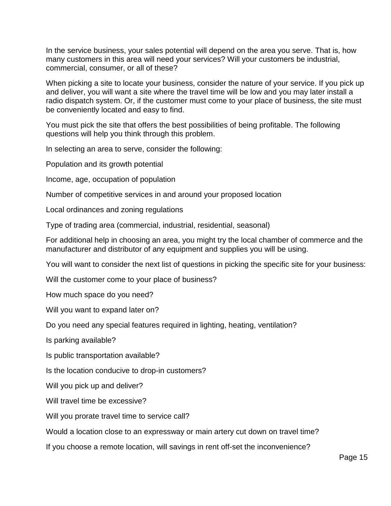In the service business, your sales potential will depend on the area you serve. That is, how many customers in this area will need your services? Will your customers be industrial, commercial, consumer, or all of these?

When picking a site to locate your business, consider the nature of your service. If you pick up and deliver, you will want a site where the travel time will be low and you may later install a radio dispatch system. Or, if the customer must come to your place of business, the site must be conveniently located and easy to find.

You must pick the site that offers the best possibilities of being profitable. The following questions will help you think through this problem.

In selecting an area to serve, consider the following:

Population and its growth potential

Income, age, occupation of population

Number of competitive services in and around your proposed location

Local ordinances and zoning regulations

Type of trading area (commercial, industrial, residential, seasonal)

For additional help in choosing an area, you might try the local chamber of commerce and the manufacturer and distributor of any equipment and supplies you will be using.

You will want to consider the next list of questions in picking the specific site for your business:

Will the customer come to your place of business?

How much space do you need?

Will you want to expand later on?

Do you need any special features required in lighting, heating, ventilation?

Is parking available?

Is public transportation available?

Is the location conducive to drop-in customers?

Will you pick up and deliver?

Will travel time be excessive?

Will you prorate travel time to service call?

Would a location close to an expressway or main artery cut down on travel time?

If you choose a remote location, will savings in rent off-set the inconvenience?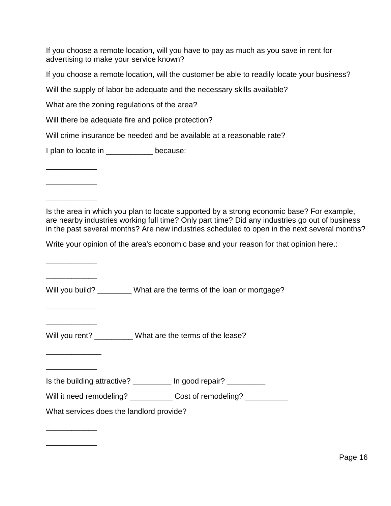If you choose a remote location, will you have to pay as much as you save in rent for advertising to make your service known?

If you choose a remote location, will the customer be able to readily locate your business?

Will the supply of labor be adequate and the necessary skills available?

What are the zoning regulations of the area?

Will there be adequate fire and police protection?

Will crime insurance be needed and be available at a reasonable rate?

I plan to locate in \_\_\_\_\_\_\_\_\_\_\_\_\_ because:

\_\_\_\_\_\_\_\_\_\_\_\_

 $\overline{\phantom{a}}$  , where  $\overline{\phantom{a}}$ 

\_\_\_\_\_\_\_\_\_\_\_\_

\_\_\_\_\_\_\_\_\_\_\_\_

\_\_\_\_\_\_\_\_\_\_\_\_

\_\_\_\_\_\_\_\_\_\_\_\_

\_\_\_\_\_\_\_\_\_\_\_\_

\_\_\_\_\_\_\_\_\_\_\_\_\_

\_\_\_\_\_\_\_\_\_\_\_\_

\_\_\_\_\_\_\_\_\_\_\_\_

 $\overline{\phantom{a}}$  , where  $\overline{\phantom{a}}$ 

Is the area in which you plan to locate supported by a strong economic base? For example, are nearby industries working full time? Only part time? Did any industries go out of business in the past several months? Are new industries scheduled to open in the next several months?

Write your opinion of the area's economic base and your reason for that opinion here.:

Will you build? What are the terms of the loan or mortgage?

Will you rent? \_\_\_\_\_\_\_\_\_ What are the terms of the lease?

Is the building attractive? \_\_\_\_\_\_\_\_\_ In good repair? \_\_\_\_\_\_\_\_

Will it need remodeling? \_\_\_\_\_\_\_\_\_\_\_\_ Cost of remodeling? \_\_\_\_\_\_\_\_\_\_\_

What services does the landlord provide?

Page 16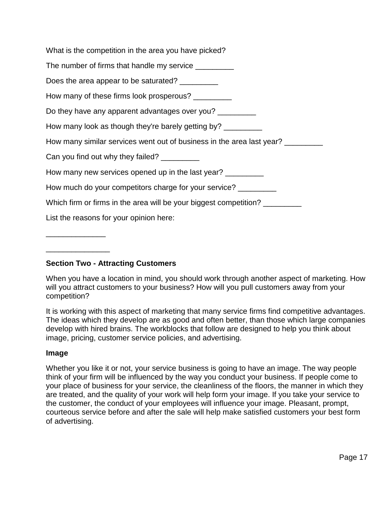| What is the competition in the area you have picked?                  |
|-----------------------------------------------------------------------|
| The number of firms that handle my service _________                  |
| Does the area appear to be saturated? __________                      |
| How many of these firms look prosperous? ________                     |
| Do they have any apparent advantages over you?                        |
| How many look as though they're barely getting by?                    |
| How many similar services went out of business in the area last year? |
| Can you find out why they failed? _________                           |
| How many new services opened up in the last year?                     |
| How much do your competitors charge for your service? _________       |
| Which firm or firms in the area will be your biggest competition?     |
| List the reasons for your opinion here:                               |

 $\overline{\phantom{a}}$  , where  $\overline{\phantom{a}}$ 

\_\_\_\_\_\_\_\_\_\_\_\_\_\_\_

# **Section Two - Attracting Customers**

It is working with this aspect of marketing that many service firms find competitive advantages. The ideas which they develop are as good and often better, than those which large companies develop with hired brains. The workblocks that follow are designed to help you think about image, pricing, customer service policies, and advertising.

## **Image**

When you have a location in mind, you should work through another aspect of marketing. How will you attract customers to your business? How will you pull customers away from your competition?

Whether you like it or not, your service business is going to have an image. The way people think of your firm will be influenced by the way you conduct your business. If people come to your place of business for your service, the cleanliness of the floors, the manner in which they are treated, and the quality of your work will help form your image. If you take your service to the customer, the conduct of your employees will influence your image. Pleasant, prompt, courteous service before and after the sale will help make satisfied customers your best form of advertising.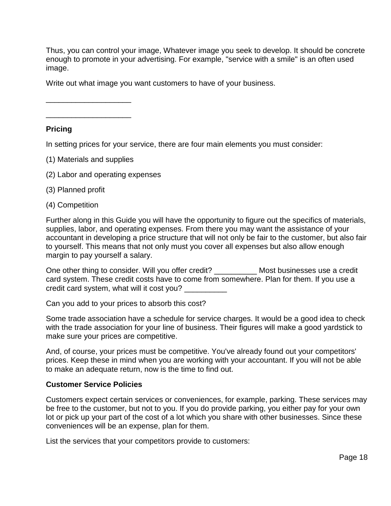Thus, you can control your image, Whatever image you seek to develop. It should be concrete enough to promote in your advertising. For example, "service with a smile" is an often used image.

Write out what image you want customers to have of your business.

\_\_\_\_\_\_\_\_\_\_\_\_\_\_\_\_\_\_\_\_

\_\_\_\_\_\_\_\_\_\_\_\_\_\_\_\_\_\_\_\_

# **Pricing**

In setting prices for your service, there are four main elements you must consider:

- (1) Materials and supplies
- (2) Labor and operating expenses
- (3) Planned profit
- (4) Competition

Further along in this Guide you will have the opportunity to figure out the specifics of materials, supplies, labor, and operating expenses. From there you may want the assistance of your accountant in developing a price structure that will not only be fair to the customer, but also fair to yourself. This means that not only must you cover all expenses but also allow enough margin to pay yourself a salary.

One other thing to consider. Will you offer credit? Most businesses use a credit card system. These credit costs have to come from somewhere. Plan for them. If you use a credit card system, what will it cost you? \_\_\_\_\_\_\_\_\_\_

Can you add to your prices to absorb this cost?

Some trade association have a schedule for service charges. It would be a good idea to check with the trade association for your line of business. Their figures will make a good yardstick to make sure your prices are competitive.

And, of course, your prices must be competitive. You've already found out your competitors' prices. Keep these in mind when you are working with your accountant. If you will not be able to make an adequate return, now is the time to find out.

# **Customer Service Policies**

Customers expect certain services or conveniences, for example, parking. These services may be free to the customer, but not to you. If you do provide parking, you either pay for your own lot or pick up your part of the cost of a lot which you share with other businesses. Since these conveniences will be an expense, plan for them.

List the services that your competitors provide to customers: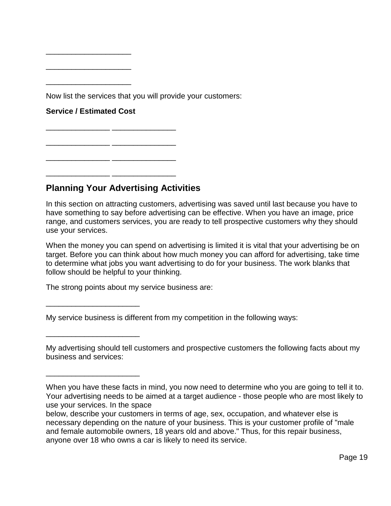Now list the services that you will provide your customers:

# **Service / Estimated Cost**

\_\_\_\_\_\_\_\_\_\_\_\_\_\_\_\_\_\_\_\_\_\_

\_\_\_\_\_\_\_\_\_\_\_\_\_\_\_\_\_\_\_\_\_\_

\_\_\_\_\_\_\_\_\_\_\_\_\_\_\_\_\_\_\_\_\_\_

\_\_\_\_\_\_\_\_\_\_\_\_\_\_\_\_\_\_\_\_

\_\_\_\_\_\_\_\_\_\_\_\_\_\_\_\_\_\_\_\_

\_\_\_\_\_\_\_\_\_\_\_\_\_\_\_\_\_\_\_\_

\_\_\_\_\_\_\_\_\_\_\_\_\_\_\_ \_\_\_\_\_\_\_\_\_\_\_\_\_\_\_

\_\_\_\_\_\_\_\_\_\_\_\_\_\_\_ \_\_\_\_\_\_\_\_\_\_\_\_\_\_\_

\_\_\_\_\_\_\_\_\_\_\_\_\_\_\_ \_\_\_\_\_\_\_\_\_\_\_\_\_\_\_

# **Planning Your Advertising Activities**

\_\_\_\_\_\_\_\_\_\_\_\_\_\_\_ \_\_\_\_\_\_\_\_\_\_\_\_\_\_\_

In this section on attracting customers, advertising was saved until last because you have to have something to say before advertising can be effective. When you have an image, price range, and customers services, you are ready to tell prospective customers why they should use your services.

When the money you can spend on advertising is limited it is vital that your advertising be on target. Before you can think about how much money you can afford for advertising, take time to determine what jobs you want advertising to do for your business. The work blanks that follow should be helpful to your thinking.

The strong points about my service business are:

My service business is different from my competition in the following ways:

My advertising should tell customers and prospective customers the following facts about my business and services:

When you have these facts in mind, you now need to determine who you are going to tell it to. Your advertising needs to be aimed at a target audience - those people who are most likely to use your services. In the space

below, describe your customers in terms of age, sex, occupation, and whatever else is necessary depending on the nature of your business. This is your customer profile of "male and female automobile owners, 18 years old and above." Thus, for this repair business, anyone over 18 who owns a car is likely to need its service.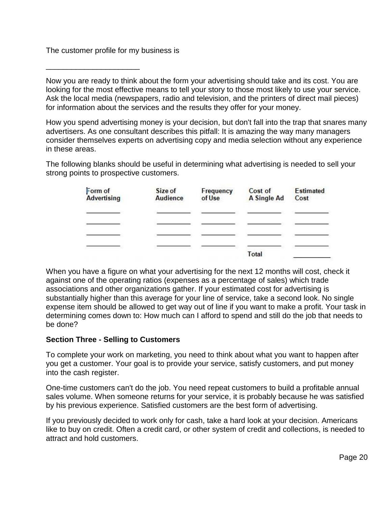The customer profile for my business is

\_\_\_\_\_\_\_\_\_\_\_\_\_\_\_\_\_\_\_\_\_\_

Now you are ready to think about the form your advertising should take and its cost. You are looking for the most effective means to tell your story to those most likely to use your service. Ask the local media (newspapers, radio and television, and the printers of direct mail pieces) for information about the services and the results they offer for your money.

How you spend advertising money is your decision, but don't fall into the trap that snares many advertisers. As one consultant describes this pitfall: It is amazing the way many managers consider themselves experts on advertising copy and media selection without any experience in these areas.

The following blanks should be useful in determining what advertising is needed to sell your strong points to prospective customers.

| Form of<br><b>Advertising</b> | Size of<br><b>Audience</b> | <b>Frequency</b><br>of Use | Cost of<br><b>A Single Ad</b> | <b>Estimated</b><br>Cost |
|-------------------------------|----------------------------|----------------------------|-------------------------------|--------------------------|
|                               |                            |                            |                               |                          |
|                               |                            |                            |                               |                          |
|                               |                            |                            |                               |                          |
|                               |                            |                            | Total                         |                          |

When you have a figure on what your advertising for the next 12 months will cost, check it against one of the operating ratios (expenses as a percentage of sales) which trade associations and other organizations gather. If your estimated cost for advertising is substantially higher than this average for your line of service, take a second look. No single expense item should be allowed to get way out of line if you want to make a profit. Your task in determining comes down to: How much can I afford to spend and still do the job that needs to be done?

# **Section Three - Selling to Customers**

To complete your work on marketing, you need to think about what you want to happen after you get a customer. Your goal is to provide your service, satisfy customers, and put money into the cash register.

One-time customers can't do the job. You need repeat customers to build a profitable annual sales volume. When someone returns for your service, it is probably because he was satisfied by his previous experience. Satisfied customers are the best form of advertising.

If you previously decided to work only for cash, take a hard look at your decision. Americans like to buy on credit. Often a credit card, or other system of credit and collections, is needed to attract and hold customers.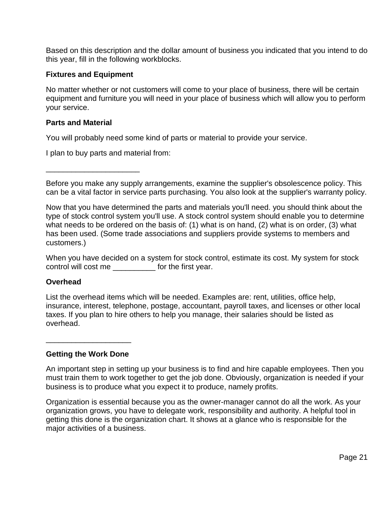Based on this description and the dollar amount of business you indicated that you intend to do this year, fill in the following workblocks.

#### **Fixtures and Equipment**

No matter whether or not customers will come to your place of business, there will be certain equipment and furniture you will need in your place of business which will allow you to perform your service.

#### **Parts and Material**

You will probably need some kind of parts or material to provide your service.

I plan to buy parts and material from:

\_\_\_\_\_\_\_\_\_\_\_\_\_\_\_\_\_\_\_\_\_\_

Before you make any supply arrangements, examine the supplier's obsolescence policy. This can be a vital factor in service parts purchasing. You also look at the supplier's warranty policy.

Now that you have determined the parts and materials you'll need. you should think about the type of stock control system you'll use. A stock control system should enable you to determine what needs to be ordered on the basis of: (1) what is on hand, (2) what is on order, (3) what has been used. (Some trade associations and suppliers provide systems to members and customers.)

When you have decided on a system for stock control, estimate its cost. My system for stock control will cost me \_\_\_\_\_\_\_\_\_\_ for the first year.

## **Overhead**

List the overhead items which will be needed. Examples are: rent, utilities, office help, insurance, interest, telephone, postage, accountant, payroll taxes, and licenses or other local taxes. If you plan to hire others to help you manage, their salaries should be listed as overhead.

\_\_\_\_\_\_\_\_\_\_\_\_\_\_\_\_\_\_\_\_

# **Getting the Work Done**

An important step in setting up your business is to find and hire capable employees. Then you must train them to work together to get the job done. Obviously, organization is needed if your business is to produce what you expect it to produce, namely profits.

Organization is essential because you as the owner-manager cannot do all the work. As your organization grows, you have to delegate work, responsibility and authority. A helpful tool in getting this done is the organization chart. It shows at a glance who is responsible for the major activities of a business.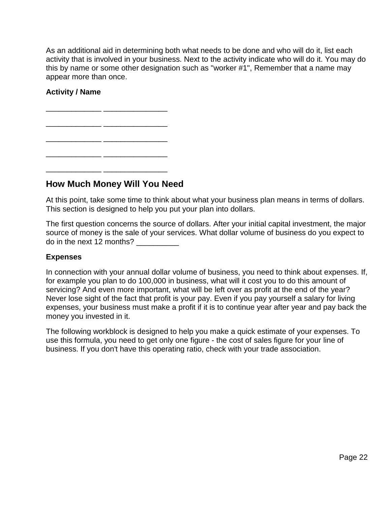As an additional aid in determining both what needs to be done and who will do it, list each activity that is involved in your business. Next to the activity indicate who will do it. You may do this by name or some other designation such as "worker #1", Remember that a name may appear more than once.

# **Activity / Name**

\_\_\_\_\_\_\_\_\_\_\_\_\_ \_\_\_\_\_\_\_\_\_\_\_\_\_\_\_ \_\_\_\_\_\_\_\_\_\_\_\_\_ \_\_\_\_\_\_\_\_\_\_\_\_\_\_\_ \_\_\_\_\_\_\_\_\_\_\_\_\_ \_\_\_\_\_\_\_\_\_\_\_\_\_\_\_ \_\_\_\_\_\_\_\_\_\_\_\_\_ \_\_\_\_\_\_\_\_\_\_\_\_\_\_\_ \_\_\_\_\_\_\_\_\_\_\_\_\_ \_\_\_\_\_\_\_\_\_\_\_\_\_\_\_

# **How Much Money Will You Need**

At this point, take some time to think about what your business plan means in terms of dollars. This section is designed to help you put your plan into dollars.

The first question concerns the source of dollars. After your initial capital investment, the major source of money is the sale of your services. What dollar volume of business do you expect to do in the next 12 months?

## **Expenses**

In connection with your annual dollar volume of business, you need to think about expenses. If, for example you plan to do 100,000 in business, what will it cost you to do this amount of servicing? And even more important, what will be left over as profit at the end of the year? Never lose sight of the fact that profit is your pay. Even if you pay yourself a salary for living expenses, your business must make a profit if it is to continue year after year and pay back the money you invested in it.

The following workblock is designed to help you make a quick estimate of your expenses. To use this formula, you need to get only one figure - the cost of sales figure for your line of business. If you don't have this operating ratio, check with your trade association.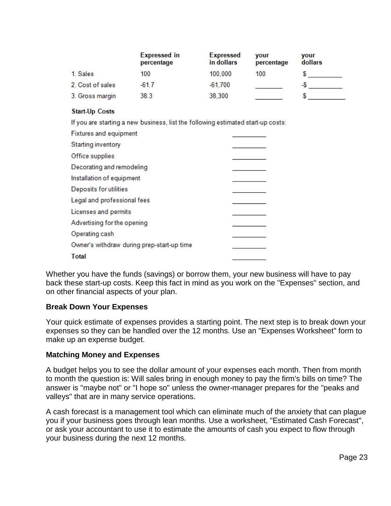|                  | <b>Expressed in</b><br>percentage | <b>Expressed</b><br>in dollars | vour<br>percentage | vour<br>dollars |  |
|------------------|-----------------------------------|--------------------------------|--------------------|-----------------|--|
| 1. Sales         | 100                               | 100,000                        | 100                |                 |  |
| 2. Cost of sales | -61.7                             | $-61,700$                      |                    | -35             |  |
| 3. Gross margin  | 38.3                              | 38,300                         |                    |                 |  |

#### **Start-Up Costs**

If you are starting a new business, list the following estimated start-up costs:

| <b>Fixtures and equipment</b>              |  |
|--------------------------------------------|--|
| Starting inventory                         |  |
| Office supplies                            |  |
| Decorating and remodeling                  |  |
| Installation of equipment                  |  |
| <b>Deposits for utilities</b>              |  |
| Legal and professional fees                |  |
| <b>Licenses and permits</b>                |  |
| Advertising for the opening                |  |
| Operating cash                             |  |
| Owner's withdraw during prep-start-up time |  |
| <b>Total</b>                               |  |

Whether you have the funds (savings) or borrow them, your new business will have to pay back these start-up costs. Keep this fact in mind as you work on the "Expenses" section, and on other financial aspects of your plan.

#### **Break Down Your Expenses**

Your quick estimate of expenses provides a starting point. The next step is to break down your expenses so they can be handled over the 12 months. Use an "Expenses Worksheet" form to make up an expense budget.

#### **Matching Money and Expenses**

A budget helps you to see the dollar amount of your expenses each month. Then from month to month the question is: Will sales bring in enough money to pay the firm's bills on time? The answer is "maybe not" or "I hope so" unless the owner-manager prepares for the "peaks and valleys" that are in many service operations.

A cash forecast is a management tool which can eliminate much of the anxiety that can plague you if your business goes through lean months. Use a worksheet, "Estimated Cash Forecast", or ask your accountant to use it to estimate the amounts of cash you expect to flow through your business during the next 12 months.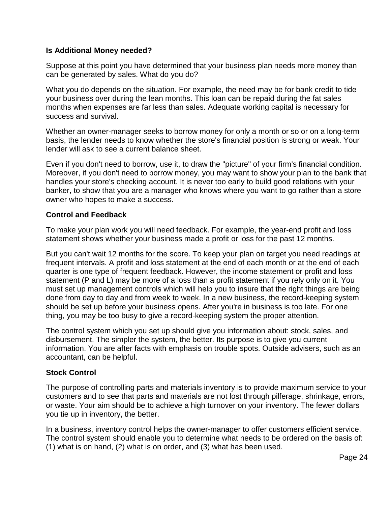# **Is Additional Money needed?**

Suppose at this point you have determined that your business plan needs more money than can be generated by sales. What do you do?

What you do depends on the situation. For example, the need may be for bank credit to tide your business over during the lean months. This loan can be repaid during the fat sales months when expenses are far less than sales. Adequate working capital is necessary for success and survival.

Whether an owner-manager seeks to borrow money for only a month or so or on a long-term basis, the lender needs to know whether the store's financial position is strong or weak. Your lender will ask to see a current balance sheet.

Even if you don't need to borrow, use it, to draw the "picture" of your firm's financial condition. Moreover, if you don't need to borrow money, you may want to show your plan to the bank that handles your store's checking account. It is never too early to build good relations with your banker, to show that you are a manager who knows where you want to go rather than a store owner who hopes to make a success.

# **Control and Feedback**

To make your plan work you will need feedback. For example, the year-end profit and loss statement shows whether your business made a profit or loss for the past 12 months.

But you can't wait 12 months for the score. To keep your plan on target you need readings at frequent intervals. A profit and loss statement at the end of each month or at the end of each quarter is one type of frequent feedback. However, the income statement or profit and loss statement (P and L) may be more of a loss than a profit statement if you rely only on it. You must set up management controls which will help you to insure that the right things are being done from day to day and from week to week. In a new business, the record-keeping system should be set up before your business opens. After you're in business is too late. For one thing, you may be too busy to give a record-keeping system the proper attention.

The control system which you set up should give you information about: stock, sales, and disbursement. The simpler the system, the better. Its purpose is to give you current information. You are after facts with emphasis on trouble spots. Outside advisers, such as an accountant, can be helpful.

# **Stock Control**

The purpose of controlling parts and materials inventory is to provide maximum service to your customers and to see that parts and materials are not lost through pilferage, shrinkage, errors, or waste. Your aim should be to achieve a high turnover on your inventory. The fewer dollars you tie up in inventory, the better.

In a business, inventory control helps the owner-manager to offer customers efficient service. The control system should enable you to determine what needs to be ordered on the basis of: (1) what is on hand, (2) what is on order, and (3) what has been used.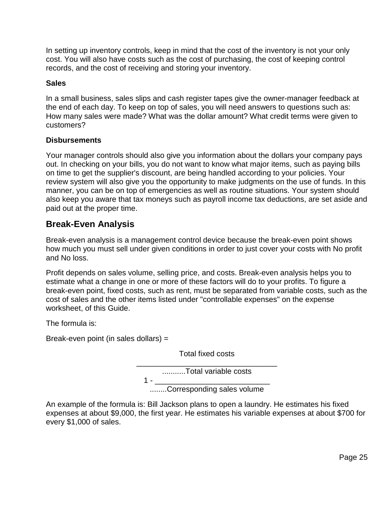In setting up inventory controls, keep in mind that the cost of the inventory is not your only cost. You will also have costs such as the cost of purchasing, the cost of keeping control records, and the cost of receiving and storing your inventory.

# **Sales**

In a small business, sales slips and cash register tapes give the owner-manager feedback at the end of each day. To keep on top of sales, you will need answers to questions such as: How many sales were made? What was the dollar amount? What credit terms were given to customers?

# **Disbursements**

Your manager controls should also give you information about the dollars your company pays out. In checking on your bills, you do not want to know what major items, such as paying bills on time to get the supplier's discount, are being handled according to your policies. Your review system will also give you the opportunity to make judgments on the use of funds. In this manner, you can be on top of emergencies as well as routine situations. Your system should also keep you aware that tax moneys such as payroll income tax deductions, are set aside and paid out at the proper time.

# **Break-Even Analysis**

Break-even analysis is a management control device because the break-even point shows how much you must sell under given conditions in order to just cover your costs with No profit and No loss.

Profit depends on sales volume, selling price, and costs. Break-even analysis helps you to estimate what a change in one or more of these factors will do to your profits. To figure a break-even point, fixed costs, such as rent, must be separated from variable costs, such as the cost of sales and the other items listed under "controllable expenses" on the expense worksheet, of this Guide.

The formula is:

Break-even point (in sales dollars) =

Total fixed costs

\_\_\_\_\_\_\_\_\_\_\_\_\_\_\_\_\_\_\_\_\_\_\_\_\_\_\_\_\_\_\_\_\_ ...........Total variable costs

1 - \_\_\_\_\_\_\_\_\_\_\_\_\_\_\_\_\_\_\_\_\_\_\_\_\_\_\_

........Corresponding sales volume

An example of the formula is: Bill Jackson plans to open a laundry. He estimates his fixed expenses at about \$9,000, the first year. He estimates his variable expenses at about \$700 for every \$1,000 of sales.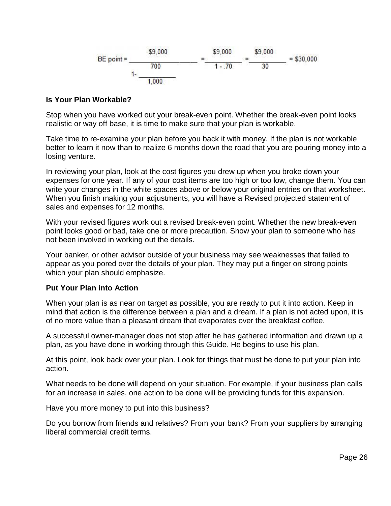

# **Is Your Plan Workable?**

Stop when you have worked out your break-even point. Whether the break-even point looks realistic or way off base, it is time to make sure that your plan is workable.

Take time to re-examine your plan before you back it with money. If the plan is not workable better to learn it now than to realize 6 months down the road that you are pouring money into a losing venture.

In reviewing your plan, look at the cost figures you drew up when you broke down your expenses for one year. If any of your cost items are too high or too low, change them. You can write your changes in the white spaces above or below your original entries on that worksheet. When you finish making your adjustments, you will have a Revised projected statement of sales and expenses for 12 months.

With your revised figures work out a revised break-even point. Whether the new break-even point looks good or bad, take one or more precaution. Show your plan to someone who has not been involved in working out the details.

Your banker, or other advisor outside of your business may see weaknesses that failed to appear as you pored over the details of your plan. They may put a finger on strong points which your plan should emphasize.

## **Put Your Plan into Action**

When your plan is as near on target as possible, you are ready to put it into action. Keep in mind that action is the difference between a plan and a dream. If a plan is not acted upon, it is of no more value than a pleasant dream that evaporates over the breakfast coffee.

A successful owner-manager does not stop after he has gathered information and drawn up a plan, as you have done in working through this Guide. He begins to use his plan.

At this point, look back over your plan. Look for things that must be done to put your plan into action.

What needs to be done will depend on your situation. For example, if your business plan calls for an increase in sales, one action to be done will be providing funds for this expansion.

Have you more money to put into this business?

Do you borrow from friends and relatives? From your bank? From your suppliers by arranging liberal commercial credit terms.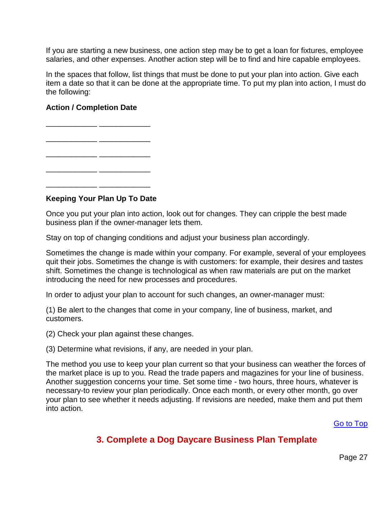If you are starting a new business, one action step may be to get a loan for fixtures, employee salaries, and other expenses. Another action step will be to find and hire capable employees.

In the spaces that follow, list things that must be done to put your plan into action. Give each item a date so that it can be done at the appropriate time. To put my plan into action, I must do the following:

#### **Action / Completion Date**

\_\_\_\_\_\_\_\_\_\_\_\_ \_\_\_\_\_\_\_\_\_\_\_\_ \_\_\_\_\_\_\_\_\_\_\_\_ \_\_\_\_\_\_\_\_\_\_\_\_ \_\_\_\_\_\_\_\_\_\_\_\_ \_\_\_\_\_\_\_\_\_\_\_\_ \_\_\_\_\_\_\_\_\_\_\_\_ \_\_\_\_\_\_\_\_\_\_\_\_ \_\_\_\_\_\_\_\_\_\_\_\_ \_\_\_\_\_\_\_\_\_\_\_\_

#### **Keeping Your Plan Up To Date**

Once you put your plan into action, look out for changes. They can cripple the best made business plan if the owner-manager lets them.

Stay on top of changing conditions and adjust your business plan accordingly.

Sometimes the change is made within your company. For example, several of your employees quit their jobs. Sometimes the change is with customers: for example, their desires and tastes shift. Sometimes the change is technological as when raw materials are put on the market introducing the need for new processes and procedures.

In order to adjust your plan to account for such changes, an owner-manager must:

(1) Be alert to the changes that come in your company, line of business, market, and customers.

(2) Check your plan against these changes.

(3) Determine what revisions, if any, are needed in your plan.

The method you use to keep your plan current so that your business can weather the forces of the market place is up to you. Read the trade papers and magazines for your line of business. Another suggestion concerns your time. Set some time - two hours, three hours, whatever is necessary-to review your plan periodically. Once each month, or every other month, go over your plan to see whether it needs adjusting. If revisions are needed, make them and put them into action.

[Go to Top](#page-0-1)

# <span id="page-26-0"></span>**3. Complete a Dog Daycare Business Plan Template**

Page 27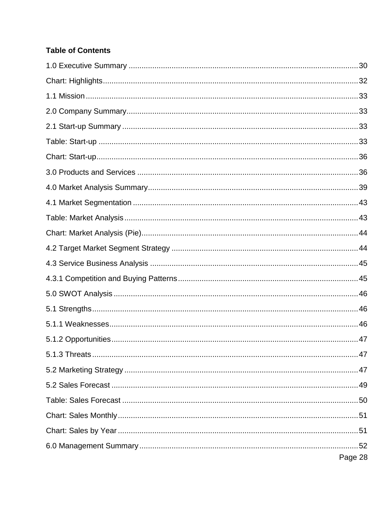# **Table of Contents**

| Page 28 |
|---------|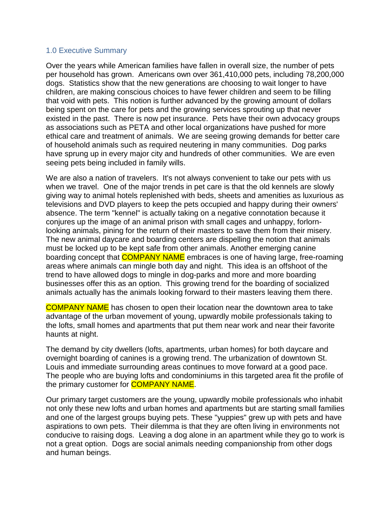#### <span id="page-29-0"></span>1.0 Executive Summary

Over the years while American families have fallen in overall size, the number of pets per household has grown. Americans own over 361,410,000 pets, including 78,200,000 dogs. Statistics show that the new generations are choosing to wait longer to have children, are making conscious choices to have fewer children and seem to be filling that void with pets. This notion is further advanced by the growing amount of dollars being spent on the care for pets and the growing services sprouting up that never existed in the past. There is now pet insurance. Pets have their own advocacy groups as associations such as PETA and other local organizations have pushed for more ethical care and treatment of animals. We are seeing growing demands for better care of household animals such as required neutering in many communities. Dog parks have sprung up in every major city and hundreds of other communities. We are even seeing pets being included in family wills.

We are also a nation of travelers. It's not always convenient to take our pets with us when we travel. One of the major trends in pet care is that the old kennels are slowly giving way to animal hotels replenished with beds, sheets and amenities as luxurious as televisions and DVD players to keep the pets occupied and happy during their owners' absence. The term "kennel" is actually taking on a negative connotation because it conjures up the image of an animal prison with small cages and unhappy, forlornlooking animals, pining for the return of their masters to save them from their misery. The new animal daycare and boarding centers are dispelling the notion that animals must be locked up to be kept safe from other animals. Another emerging canine boarding concept that **COMPANY NAME** embraces is one of having large, free-roaming areas where animals can mingle both day and night. This idea is an offshoot of the trend to have allowed dogs to mingle in dog-parks and more and more boarding businesses offer this as an option. This growing trend for the boarding of socialized animals actually has the animals looking forward to their masters leaving them there.

COMPANY NAME has chosen to open their location near the downtown area to take advantage of the urban movement of young, upwardly mobile professionals taking to the lofts, small homes and apartments that put them near work and near their favorite haunts at night.

The demand by city dwellers (lofts, apartments, urban homes) for both daycare and overnight boarding of canines is a growing trend. The urbanization of downtown St. Louis and immediate surrounding areas continues to move forward at a good pace. The people who are buying lofts and condominiums in this targeted area fit the profile of the primary customer for **COMPANY NAME**.

Our primary target customers are the young, upwardly mobile professionals who inhabit not only these new lofts and urban homes and apartments but are starting small families and one of the largest groups buying pets. These "yuppies" grew up with pets and have aspirations to own pets. Their dilemma is that they are often living in environments not conducive to raising dogs. Leaving a dog alone in an apartment while they go to work is not a great option. Dogs are social animals needing companionship from other dogs and human beings.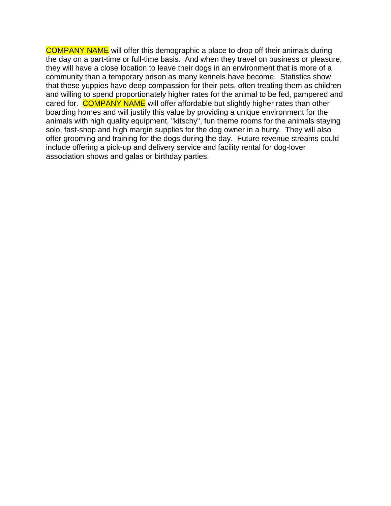COMPANY NAME will offer this demographic a place to drop off their animals during the day on a part-time or full-time basis. And when they travel on business or pleasure, they will have a close location to leave their dogs in an environment that is more of a community than a temporary prison as many kennels have become. Statistics show that these yuppies have deep compassion for their pets, often treating them as children and willing to spend proportionately higher rates for the animal to be fed, pampered and cared for. COMPANY NAME will offer affordable but slightly higher rates than other boarding homes and will justify this value by providing a unique environment for the animals with high quality equipment, "kitschy", fun theme rooms for the animals staying solo, fast-shop and high margin supplies for the dog owner in a hurry. They will also offer grooming and training for the dogs during the day. Future revenue streams could include offering a pick-up and delivery service and facility rental for dog-lover association shows and galas or birthday parties.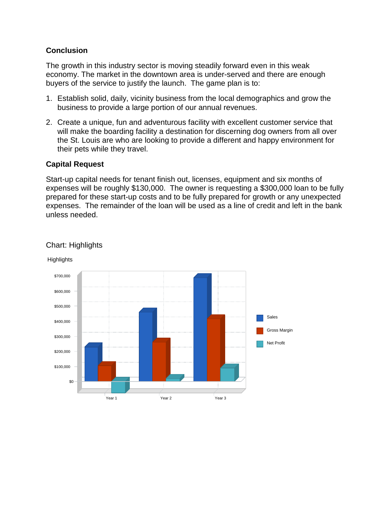# **Conclusion**

The growth in this industry sector is moving steadily forward even in this weak economy. The market in the downtown area is under-served and there are enough buyers of the service to justify the launch. The game plan is to:

- 1. Establish solid, daily, vicinity business from the local demographics and grow the business to provide a large portion of our annual revenues.
- 2. Create a unique, fun and adventurous facility with excellent customer service that will make the boarding facility a destination for discerning dog owners from all over the St. Louis are who are looking to provide a different and happy environment for their pets while they travel.

#### **Capital Request**

Start-up capital needs for tenant finish out, licenses, equipment and six months of expenses will be roughly \$130,000. The owner is requesting a \$300,000 loan to be fully prepared for these start-up costs and to be fully prepared for growth or any unexpected expenses. The remainder of the loan will be used as a line of credit and left in the bank unless needed.



# <span id="page-31-0"></span>Chart: Highlights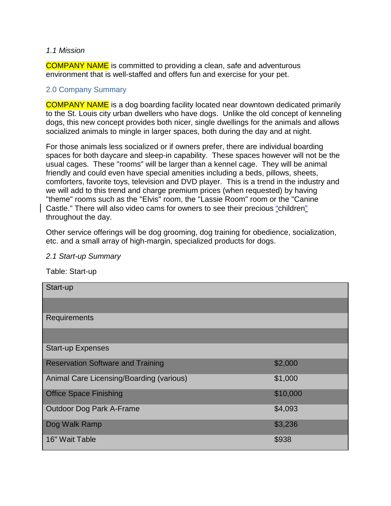#### <span id="page-32-0"></span>*1.1 Mission*

COMPANY NAME is committed to providing a clean, safe and adventurous environment that is well-staffed and offers fun and exercise for your pet.

## <span id="page-32-1"></span>2.0 Company Summary

COMPANY NAME is a dog boarding facility located near downtown dedicated primarily to the St. Louis city urban dwellers who have dogs. Unlike the old concept of kenneling dogs, this new concept provides both nicer, single dwellings for the animals and allows socialized animals to mingle in larger spaces, both during the day and at night.

For those animals less socialized or if owners prefer, there are individual boarding spaces for both daycare and sleep-in capability. These spaces however will not be the usual cages. These "rooms" will be larger than a kennel cage. They will be animal friendly and could even have special amenities including a beds, pillows, sheets, comforters, favorite toys, television and DVD player. This is a trend in the industry and we will add to this trend and charge premium prices (when requested) by having "theme" rooms such as the "Elvis" room, the "Lassie Room" room or the "Canine Castle." There will also video cams for owners to see their precious "children" throughout the day.

Other service offerings will be dog grooming, dog training for obedience, socialization, etc. and a small array of high-margin, specialized products for dogs.

#### <span id="page-32-2"></span>*2.1 Start-up Summary*

<span id="page-32-3"></span>Table: Start-up

| Start-up                                 |          |
|------------------------------------------|----------|
|                                          |          |
| <b>Requirements</b>                      |          |
|                                          |          |
| <b>Start-up Expenses</b>                 |          |
| <b>Reservation Software and Training</b> | \$2,000  |
| Animal Care Licensing/Boarding (various) | \$1,000  |
| <b>Office Space Finishing</b>            | \$10,000 |
| <b>Outdoor Dog Park A-Frame</b>          | \$4,093  |
| Dog Walk Ramp                            | \$3,236  |
| 16" Wait Table                           | \$938    |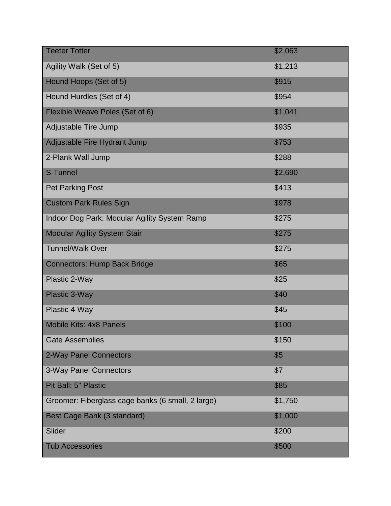| Teeter Totter                                     | \$2,063 |
|---------------------------------------------------|---------|
| Agility Walk (Set of 5)                           | \$1,213 |
| Hound Hoops (Set of 5)                            | \$915   |
| Hound Hurdles (Set of 4)                          | \$954   |
| Flexible Weave Poles (Set of 6)                   | \$1,041 |
| Adjustable Tire Jump                              | \$935   |
| Adjustable Fire Hydrant Jump                      | \$753   |
| 2-Plank Wall Jump                                 | \$288   |
| S-Tunnel                                          | \$2,690 |
| <b>Pet Parking Post</b>                           | \$413   |
| <b>Custom Park Rules Sign</b>                     | \$978   |
| Indoor Dog Park: Modular Agility System Ramp      | \$275   |
| <b>Modular Agility System Stair</b>               | \$275   |
| <b>Tunnel/Walk Over</b>                           | \$275   |
| <b>Connectors: Hump Back Bridge</b>               | \$65    |
| Plastic 2-Way                                     | \$25    |
| Plastic 3-Way                                     | \$40    |
| Plastic 4-Way                                     | \$45    |
| <b>Mobile Kits: 4x8 Panels</b>                    | \$100   |
| <b>Gate Assemblies</b>                            | \$150   |
| 2-Way Panel Connectors                            | \$5     |
| <b>3-Way Panel Connectors</b>                     | \$7     |
| Pit Ball: 5" Plastic                              | \$85    |
| Groomer: Fiberglass cage banks (6 small, 2 large) | \$1,750 |
| Best Cage Bank (3 standard)                       | \$1,000 |
| Slider                                            | \$200   |
| <b>Tub Accessories</b>                            | \$500   |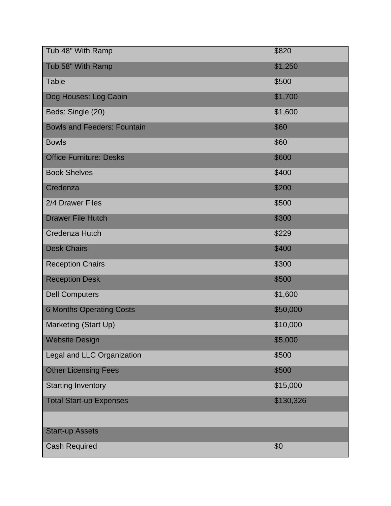| Tub 48" With Ramp                  | \$820     |
|------------------------------------|-----------|
| Tub 58" With Ramp                  | \$1,250   |
| Table                              | \$500     |
| Dog Houses: Log Cabin              | \$1,700   |
| Beds: Single (20)                  | \$1,600   |
| <b>Bowls and Feeders: Fountain</b> | \$60      |
| <b>Bowls</b>                       | \$60      |
| <b>Office Furniture: Desks</b>     | \$600     |
| <b>Book Shelves</b>                | \$400     |
| Credenza                           | \$200     |
| 2/4 Drawer Files                   | \$500     |
| <b>Drawer File Hutch</b>           | \$300     |
| Credenza Hutch                     | \$229     |
| <b>Desk Chairs</b>                 | \$400     |
| <b>Reception Chairs</b>            | \$300     |
| <b>Reception Desk</b>              | \$500     |
| <b>Dell Computers</b>              | \$1,600   |
| <b>6 Months Operating Costs</b>    | \$50,000  |
| Marketing (Start Up)               | \$10,000  |
| <b>Website Design</b>              | \$5,000   |
| Legal and LLC Organization         | \$500     |
| <b>Other Licensing Fees</b>        | \$500     |
| <b>Starting Inventory</b>          | \$15,000  |
| <b>Total Start-up Expenses</b>     | \$130,326 |
|                                    |           |
| <b>Start-up Assets</b>             |           |
| <b>Cash Required</b>               | \$0       |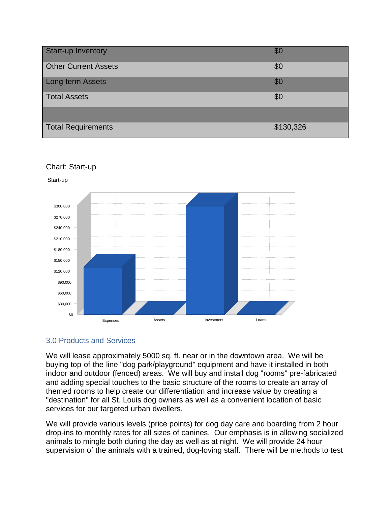| <b>Start-up Inventory</b>   | \$0       |
|-----------------------------|-----------|
| <b>Other Current Assets</b> | \$0       |
| Long-term Assets            | \$0       |
| Total Assets                | \$0       |
|                             |           |
| Total Requirements          | \$130,326 |

#### <span id="page-35-0"></span>Chart: Start-up



## <span id="page-35-1"></span>3.0 Products and Services

We will lease approximately 5000 sq. ft. near or in the downtown area. We will be buying top-of-the-line "dog park/playground" equipment and have it installed in both indoor and outdoor (fenced) areas. We will buy and install dog "rooms" pre-fabricated and adding special touches to the basic structure of the rooms to create an array of themed rooms to help create our differentiation and increase value by creating a "destination" for all St. Louis dog owners as well as a convenient location of basic services for our targeted urban dwellers.

We will provide various levels (price points) for dog day care and boarding from 2 hour drop-ins to monthly rates for all sizes of canines. Our emphasis is in allowing socialized animals to mingle both during the day as well as at night. We will provide 24 hour supervision of the animals with a trained, dog-loving staff. There will be methods to test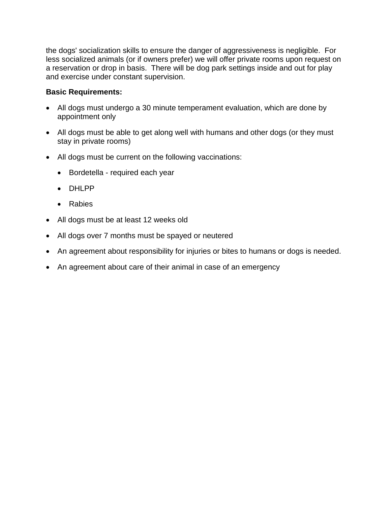the dogs' socialization skills to ensure the danger of aggressiveness is negligible. For less socialized animals (or if owners prefer) we will offer private rooms upon request on a reservation or drop in basis. There will be dog park settings inside and out for play and exercise under constant supervision.

# **Basic Requirements:**

- All dogs must undergo a 30 minute temperament evaluation, which are done by appointment only
- All dogs must be able to get along well with humans and other dogs (or they must stay in private rooms)
- All dogs must be current on the following vaccinations:
	- Bordetella required each year
	- DHLPP
	- Rabies
- All dogs must be at least 12 weeks old
- All dogs over 7 months must be spayed or neutered
- An agreement about responsibility for injuries or bites to humans or dogs is needed.
- An agreement about care of their animal in case of an emergency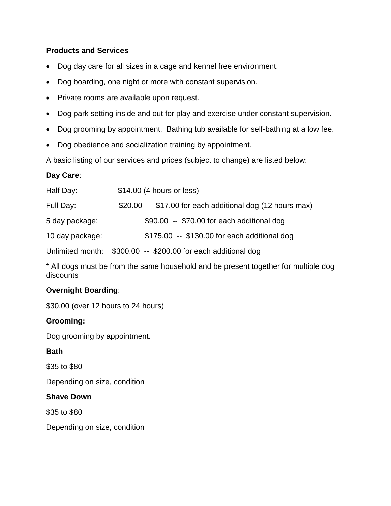# **Products and Services**

- Dog day care for all sizes in a cage and kennel free environment.
- Dog boarding, one night or more with constant supervision.
- Private rooms are available upon request.
- Dog park setting inside and out for play and exercise under constant supervision.
- Dog grooming by appointment. Bathing tub available for self-bathing at a low fee.
- Dog obedience and socialization training by appointment.

A basic listing of our services and prices (subject to change) are listed below:

# **Day Care**:

| Half Day:       | \$14.00 (4 hours or less)                                     |
|-----------------|---------------------------------------------------------------|
| Full Day:       | $$20.00 - $17.00$ for each additional dog (12 hours max)      |
| 5 day package:  | $$90.00 - $70.00$ for each additional dog                     |
| 10 day package: | \$175.00 -- \$130.00 for each additional dog                  |
|                 | Unlimited month: \$300.00 -- \$200.00 for each additional dog |

\* All dogs must be from the same household and be present together for multiple dog discounts

## **Overnight Boarding**:

\$30.00 (over 12 hours to 24 hours)

## **Grooming:**

Dog grooming by appointment.

## **Bath**

\$35 to \$80

Depending on size, condition

## **Shave Down**

\$35 to \$80

Depending on size, condition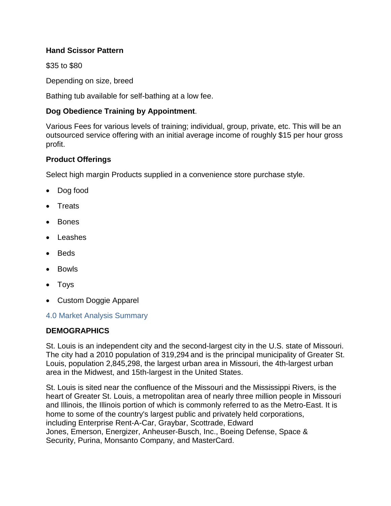# **Hand Scissor Pattern**

\$35 to \$80

Depending on size, breed

Bathing tub available for self-bathing at a low fee.

# **Dog Obedience Training by Appointment**.

Various Fees for various levels of training; individual, group, private, etc. This will be an outsourced service offering with an initial average income of roughly \$15 per hour gross profit.

# **Product Offerings**

Select high margin Products supplied in a convenience store purchase style.

- Dog food
- Treats
- Bones
- Leashes
- Beds
- Bowls
- Toys
- Custom Doggie Apparel

<span id="page-38-0"></span>4.0 Market Analysis Summary

## **DEMOGRAPHICS**

St. Louis is an [independent city](http://en.wikipedia.org/wiki/Independent_city) and the second-largest city in the U.S. state of [Missouri.](http://en.wikipedia.org/wiki/Missouri) The city had a 2010 population of 319,294 and is the principal municipality of [Greater St.](http://en.wikipedia.org/wiki/Greater_St._Louis)  [Louis,](http://en.wikipedia.org/wiki/Greater_St._Louis) population 2,845,298, the largest urban area in Missouri, the 4th-largest urban area in the [Midwest,](http://en.wikipedia.org/wiki/Midwest) and 15th-largest in the United States.

St. Louis is sited near the confluence of the [Missouri](http://en.wikipedia.org/wiki/Missouri_River) and the [Mississippi Rivers,](http://en.wikipedia.org/wiki/Mississippi_River) is the heart of Greater St. Louis, a [metropolitan area](http://en.wikipedia.org/wiki/Metropolitan_area) of nearly three million people in Missouri and [Illinois,](http://en.wikipedia.org/wiki/Illinois) the [Illinois](http://en.wikipedia.org/wiki/Illinois) portion of which is commonly referred to as the [Metro-East.](http://en.wikipedia.org/wiki/Metro-East) It is home to some of the country's largest public and privately held corporations, including [Enterprise Rent-A-Car,](http://en.wikipedia.org/wiki/Enterprise_Rent-A-Car) [Graybar,](http://en.wikipedia.org/wiki/Graybar) [Scottrade,](http://en.wikipedia.org/wiki/Scottrade) [Edward](http://en.wikipedia.org/wiki/Edward_Jones_Investments)  [Jones,](http://en.wikipedia.org/wiki/Edward_Jones_Investments) [Emerson,](http://en.wikipedia.org/wiki/Emerson_Electric_Company) [Energizer,](http://en.wikipedia.org/wiki/Energizer) [Anheuser-Busch, Inc.,](http://en.wikipedia.org/wiki/Anheuser-Busch,_Inc.) [Boeing Defense, Space &](http://en.wikipedia.org/wiki/Boeing_Defense,_Space_%26_Security)  [Security,](http://en.wikipedia.org/wiki/Boeing_Defense,_Space_%26_Security) [Purina,](http://en.wikipedia.org/wiki/Purina) [Monsanto Company,](http://en.wikipedia.org/wiki/Monsanto_Company) and [MasterCard.](http://en.wikipedia.org/wiki/MasterCard)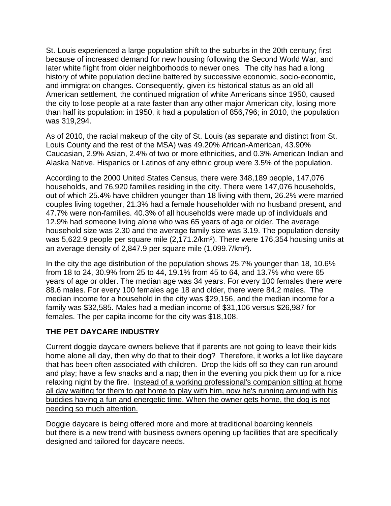St. Louis experienced a large population shift to the suburbs in the 20th century; first because of increased demand for new housing following the Second World War, and later [white flight](http://en.wikipedia.org/wiki/White_flight) from older neighborhoods to newer ones. The city has had a long history of white population decline battered by successive economic, socio-economic, and immigration changes. Consequently, given its historical status as an old all American settlement, the continued migration of white Americans since 1950, caused the city to lose people at a rate faster than any other major American city, losing more than half its population: in 1950, it had a population of 856,796; in 2010, the population was 319,294.

As of 2010, the racial makeup of the city of St. Louis (as separate and distinct from St. Louis County and the rest of the MSA) was 49.20% African-American, 43.90% Caucasian, 2.9% Asian, 2.4% of two or more ethnicities, and 0.3% American Indian and Alaska Native. Hispanics or Latinos of any ethnic group were 3.5% of the population.

According to the [2000 United States Census,](http://en.wikipedia.org/wiki/2000_United_States_Census) there were 348,189 people, 147,076 households, and 76,920 families residing in the city. There were 147,076 households, out of which 25.4% have children younger than 18 living with them, 26.2% were married couples living together, 21.3% had a female householder with no husband present, and 47.7% were non-families. 40.3% of all households were made up of individuals and 12.9% had someone living alone who was 65 years of age or older. The average household size was 2.30 and the average family size was 3.19. The population density was 5,622.9 people per square mile (2,171.2/km²). There were 176,354 housing units at an average density of 2,847.9 per square mile (1,099.7/km²).

In the city the age distribution of the population shows 25.7% younger than 18, 10.6% from 18 to 24, 30.9% from 25 to 44, 19.1% from 45 to 64, and 13.7% who were 65 years of age or older. The median age was 34 years. For every 100 females there were 88.6 males. For every 100 females age 18 and older, there were 84.2 males. The median income for a household in the city was \$29,156, and the median income for a family was \$32,585. Males had a median income of \$31,106 versus \$26,987 for females. The per capita income for the city was \$18,108.

# **THE PET DAYCARE INDUSTRY**

Current doggie daycare owners believe that if parents are not going to leave their kids home alone all day, then why do that to their dog? Therefore, it works a lot like daycare that has been often associated with children. Drop the kids off so they can run around and play; have a few snacks and a nap; then in the evening you pick them up for a nice relaxing night by the fire. Instead of a working professional's companion sitting at home all day waiting for them to get home to play with him, now he's running around with his buddies having a fun and energetic time. When the owner gets home, the dog is not needing so much attention.

Doggie daycare is being offered more and more at traditional boarding kennels but there is a new trend with business owners opening up facilities that are specifically designed and tailored for daycare needs.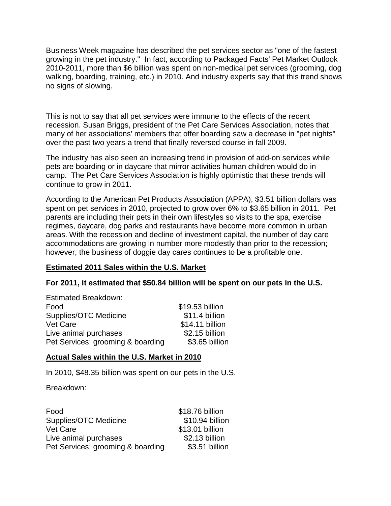Business Week magazine has described the pet services sector as "one of the fastest growing in the pet industry." In fact, according to Packaged Facts' Pet Market Outlook 2010-2011, more than \$6 billion was spent on non-medical pet services (grooming, dog walking, boarding, training, etc.) in 2010. And industry experts say that this trend shows no signs of slowing.

This is not to say that all pet services were immune to the effects of the recent recession. Susan Briggs, president of the Pet Care Services Association, notes that many of her associations' members that offer boarding saw a decrease in "pet nights" over the past two years-a trend that finally reversed course in fall 2009.

The industry has also seen an increasing trend in provision of add-on services while pets are boarding or in daycare that mirror activities human children would do in camp. The Pet Care Services Association is highly optimistic that these trends will continue to grow in 2011.

According to the [American Pet Products Association \(APPA\),](http://americanpetproducts.org/press_industrytrends.asp) \$3.51 billion dollars was spent on pet services in 2010, projected to grow over 6% to \$3.65 billion in 2011. Pet parents are including their pets in their own lifestyles so visits to the spa, exercise regimes, daycare, dog parks and restaurants have become more common in urban areas. With the recession and decline of investment capital, the number of day care accommodations are growing in number more modestly than prior to the recession; however, the business of doggie day cares continues to be a profitable one.

## **Estimated 2011 Sales within the U.S. Market**

## **For 2011, it estimated that \$50.84 billion will be spent on our pets in the U.S.**

| <b>Estimated Breakdown:</b>       |                 |
|-----------------------------------|-----------------|
| Food                              | \$19.53 billion |
| Supplies/OTC Medicine             | \$11.4 billion  |
| Vet Care                          | \$14.11 billion |
| Live animal purchases             | \$2.15 billion  |
| Pet Services: grooming & boarding | \$3.65 billion  |

#### **Actual Sales within the U.S. Market in 2010**

In 2010, \$48.35 billion was spent on our pets in the U.S.

Breakdown:

| Food                              | \$18.76 billion |
|-----------------------------------|-----------------|
| Supplies/OTC Medicine             | \$10.94 billion |
| Vet Care                          | \$13.01 billion |
| Live animal purchases             | \$2.13 billion  |
| Pet Services: grooming & boarding | \$3.51 billion  |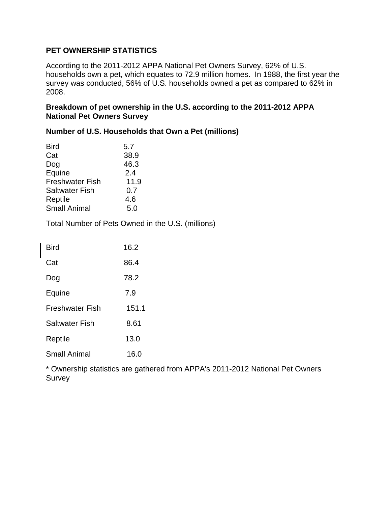# **PET OWNERSHIP STATISTICS**

According to the 2011-2012 APPA National Pet Owners Survey, 62% of U.S. households own a pet, which equates to 72.9 million homes. In 1988, the first year the survey was conducted, 56% of U.S. households owned a pet as compared to 62% in 2008.

# **Breakdown of pet ownership in the U.S. according to the 2011-2012 APPA National Pet Owners Survey**

|  | Number of U.S. Households that Own a Pet (millions) |  |  |
|--|-----------------------------------------------------|--|--|
|--|-----------------------------------------------------|--|--|

| <b>Bird</b>            | 5.7  |
|------------------------|------|
| Cat                    | 38.9 |
| Dog                    | 46.3 |
| Equine                 | 2.4  |
| <b>Freshwater Fish</b> | 11.9 |
| <b>Saltwater Fish</b>  | 0.7  |
| Reptile                | 4.6  |
| <b>Small Animal</b>    | 5.0  |
|                        |      |

Total Number of Pets Owned in the U.S. (millions)

| <b>Bird</b>            | 16.2  |
|------------------------|-------|
| Cat                    | 86.4  |
| Dog                    | 78.2  |
| Equine                 | 7.9   |
| <b>Freshwater Fish</b> | 151.1 |
| <b>Saltwater Fish</b>  | 8.61  |
| Reptile                | 13.0  |
| <b>Small Animal</b>    | 16.0  |

\* Ownership statistics are gathered from APPA's 2011-2012 National Pet Owners Survey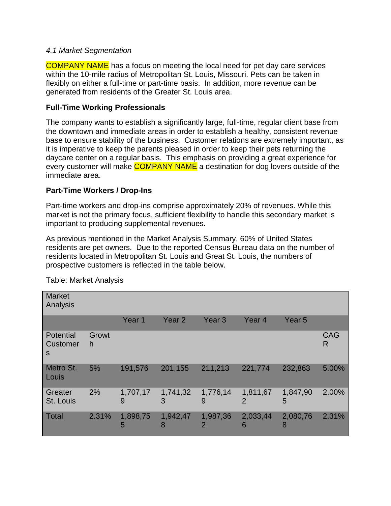#### <span id="page-42-0"></span>*4.1 Market Segmentation*

COMPANY NAME has a focus on meeting the local need for pet day care services within the 10-mile radius of Metropolitan St. Louis, Missouri. Pets can be taken in flexibly on either a full-time or part-time basis. In addition, more revenue can be generated from residents of the Greater St. Louis area.

#### **Full-Time Working Professionals**

The company wants to establish a significantly large, full-time, regular client base from the downtown and immediate areas in order to establish a healthy, consistent revenue base to ensure stability of the business. Customer relations are extremely important, as it is imperative to keep the parents pleased in order to keep their pets returning the daycare center on a regular basis. This emphasis on providing a great experience for every customer will make **COMPANY NAME** a destination for dog lovers outside of the immediate area.

#### **Part-Time Workers / Drop-Ins**

Part-time workers and drop-ins comprise approximately 20% of revenues. While this market is not the primary focus, sufficient flexibility to handle this secondary market is important to producing supplemental revenues.

As previous mentioned in the Market Analysis Summary, 60% of United States residents are pet owners. Due to the reported Census Bureau data on the number of residents located in Metropolitan St. Louis and Great St. Louis, the numbers of prospective customers is reflected in the table below.

| <b>Market</b><br>Analysis         |            |               |                   |                   |                   |                   |                 |
|-----------------------------------|------------|---------------|-------------------|-------------------|-------------------|-------------------|-----------------|
|                                   |            | Year 1        | Year <sub>2</sub> | Year <sub>3</sub> | Year <sub>4</sub> | Year <sub>5</sub> |                 |
| Potential<br><b>Customer</b><br>S | Growt<br>h |               |                   |                   |                   |                   | <b>CAG</b><br>R |
| Metro St.<br>Louis                | 5%         | 191,576       | 201,155           | 211,213           | 221,774           | 232,863           | 5.00%           |
| Greater<br>St. Louis              | 2%         | 1,707,17<br>9 | 1,741,32<br>3     | 1,776,14<br>9     | 1,811,67<br>2     | 1,847,90<br>5     | 2.00%           |
| <b>Total</b>                      | 2.31%      | 1,898,75<br>5 | 1,942,47<br>8     | 1,987,36<br>2     | 2,033,44<br>6     | 2,080,76<br>8     | 2.31%           |

<span id="page-42-1"></span>Table: Market Analysis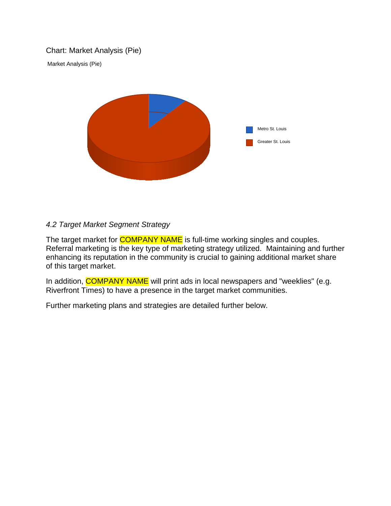# <span id="page-43-0"></span>Chart: Market Analysis (Pie)

Market Analysis (Pie)



# <span id="page-43-1"></span>*4.2 Target Market Segment Strategy*

The target market for **COMPANY NAME** is full-time working singles and couples. Referral marketing is the key type of marketing strategy utilized. Maintaining and further enhancing its reputation in the community is crucial to gaining additional market share of this target market.

In addition, **COMPANY NAME** will print ads in local newspapers and "weeklies" (e.g. Riverfront Times) to have a presence in the target market communities.

Further marketing plans and strategies are detailed further below.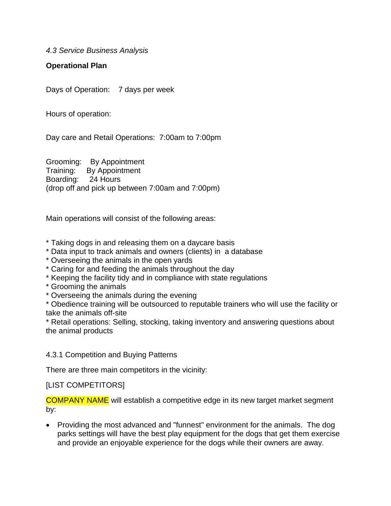<span id="page-44-0"></span>*4.3 Service Business Analysis*

# **Operational Plan**

Days of Operation: 7 days per week

Hours of operation:

Day care and Retail Operations: 7:00am to 7:00pm

Grooming: By Appointment Training: By Appointment Boarding: 24 Hours (drop off and pick up between 7:00am and 7:00pm)

Main operations will consist of the following areas:

- \* Taking dogs in and releasing them on a daycare basis
- \* Data input to track animals and owners (clients) in a database
- \* Overseeing the animals in the open yards
- \* Caring for and feeding the animals throughout the day
- \* Keeping the facility tidy and in compliance with state regulations
- \* Grooming the animals
- \* Overseeing the animals during the evening

\* Obedience training will be outsourced to reputable trainers who will use the facility or take the animals off-site

\* Retail operations: Selling, stocking, taking inventory and answering questions about the animal products

<span id="page-44-1"></span>4.3.1 Competition and Buying Patterns

There are three main competitors in the vicinity:

## [LIST COMPETITORS]

COMPANY NAME will establish a competitive edge in its new target market segment by:

• Providing the most advanced and "funnest" environment for the animals. The dog parks settings will have the best play equipment for the dogs that get them exercise and provide an enjoyable experience for the dogs while their owners are away.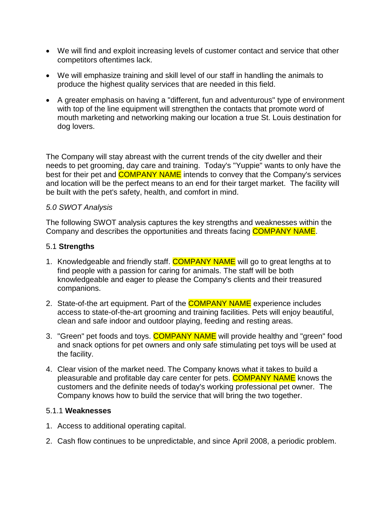- We will find and exploit increasing levels of customer contact and service that other competitors oftentimes lack.
- We will emphasize training and skill level of our staff in handling the animals to produce the highest quality services that are needed in this field.
- A greater emphasis on having a "different, fun and adventurous" type of environment with top of the line equipment will strengthen the contacts that promote word of mouth marketing and networking making our location a true St. Louis destination for dog lovers.

The Company will stay abreast with the current trends of the city dweller and their needs to pet grooming, day care and training. Today's "Yuppie" wants to only have the best for their pet and **COMPANY NAME** intends to convey that the Company's services and location will be the perfect means to an end for their target market. The facility will be built with the pet's safety, health, and comfort in mind.

# <span id="page-45-0"></span>*5.0 SWOT Analysis*

The following SWOT analysis captures the key strengths and weaknesses within the Company and describes the opportunities and threats facing **COMPANY NAME**.

# <span id="page-45-1"></span>5.1 **Strengths**

- 1. Knowledgeable and friendly staff. COMPANY NAME will go to great lengths at to find people with a passion for caring for animals. The staff will be both knowledgeable and eager to please the Company's clients and their treasured companions.
- 2. State-of-the art equipment. Part of the **COMPANY NAME** experience includes access to state-of-the-art grooming and training facilities. Pets will enjoy beautiful, clean and safe indoor and outdoor playing, feeding and resting areas.
- 3. "Green" pet foods and toys. COMPANY NAME will provide healthy and "green" food and snack options for pet owners and only safe stimulating pet toys will be used at the facility.
- 4. Clear vision of the market need. The Company knows what it takes to build a pleasurable and profitable day care center for pets. COMPANY NAME knows the customers and the definite needs of today's working professional pet owner. The Company knows how to build the service that will bring the two together.

## <span id="page-45-2"></span>5.1.1 **Weaknesses**

- 1. Access to additional operating capital.
- 2. Cash flow continues to be unpredictable, and since April 2008, a periodic problem.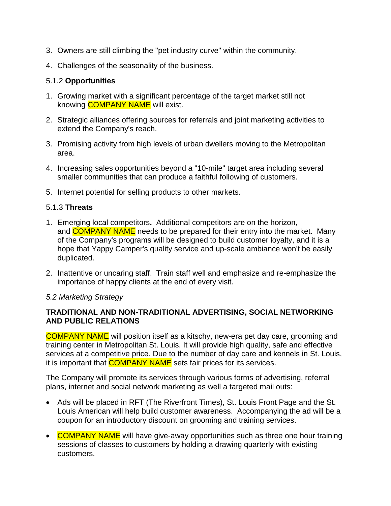- 3. Owners are still climbing the "pet industry curve" within the community.
- 4. Challenges of the seasonality of the business.

# <span id="page-46-0"></span>5.1.2 **Opportunities**

- 1. Growing market with a significant percentage of the target market still not knowing **COMPANY NAME** will exist.
- 2. Strategic alliances offering sources for referrals and joint marketing activities to extend the Company's reach.
- 3. Promising activity from high levels of urban dwellers moving to the Metropolitan area.
- 4. Increasing sales opportunities beyond a "10-mile" target area including several smaller communities that can produce a faithful following of customers.
- 5. Internet potential for selling products to other markets.

# <span id="page-46-1"></span>5.1.3 **Threats**

- 1. Emerging local competitors**.** Additional competitors are on the horizon, and **COMPANY NAME** needs to be prepared for their entry into the market. Many of the Company's programs will be designed to build customer loyalty, and it is a hope that Yappy Camper's quality service and up-scale ambiance won't be easily duplicated.
- 2. Inattentive or uncaring staff. Train staff well and emphasize and re-emphasize the importance of happy clients at the end of every visit.

# <span id="page-46-2"></span>*5.2 Marketing Strategy*

# **TRADITIONAL AND NON-TRADITIONAL ADVERTISING, SOCIAL NETWORKING AND PUBLIC RELATIONS**

COMPANY NAME will position itself as a kitschy, new-era pet day care, grooming and training center in Metropolitan St. Louis. It will provide high quality, safe and effective services at a competitive price. Due to the number of day care and kennels in St. Louis, it is important that **COMPANY NAME** sets fair prices for its services.

The Company will promote its services through various forms of advertising, referral plans, internet and social network marketing as well a targeted mail outs:

- Ads will be placed in RFT (The Riverfront Times), St. Louis Front Page and the St. Louis American will help build customer awareness. Accompanying the ad will be a coupon for an introductory discount on grooming and training services.
- COMPANY NAME will have give-away opportunities such as three one hour training sessions of classes to customers by holding a drawing quarterly with existing customers.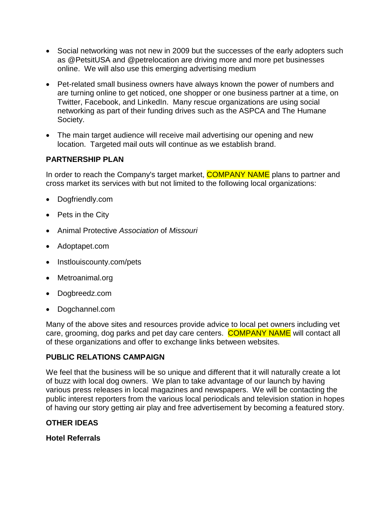- Social networking was not new in 2009 but the successes of the early adopters such as @PetsitUSA and @petrelocation are driving more and more pet businesses online. We will also use this emerging advertising medium
- Pet-related small business owners have always known the power of numbers and are turning online to get noticed, one shopper or one business partner at a time, on Twitter, Facebook, and LinkedIn. Many rescue organizations are using social networking as part of their funding drives such as the ASPCA and The Humane Society.
- The main target audience will receive mail advertising our opening and new location. Targeted mail outs will continue as we establish brand.

# **PARTNERSHIP PLAN**

In order to reach the Company's target market, **COMPANY NAME** plans to partner and cross market its services with but not limited to the following local organizations:

- Dogfriendly.com
- Pets in the City
- Animal Protective *Association* of *Missouri*
- Adoptapet.com
- Instlouiscounty.com/pets
- Metroanimal.org
- Dogbreedz.com
- Dogchannel.com

Many of the above sites and resources provide advice to local pet owners including vet care, grooming, dog parks and pet day care centers. COMPANY NAME will contact all of these organizations and offer to exchange links between websites.

## **PUBLIC RELATIONS CAMPAIGN**

We feel that the business will be so unique and different that it will naturally create a lot of buzz with local dog owners. We plan to take advantage of our launch by having various press releases in local magazines and newspapers. We will be contacting the public interest reporters from the various local periodicals and television station in hopes of having our story getting air play and free advertisement by becoming a featured story.

## **OTHER IDEAS**

**Hotel Referrals**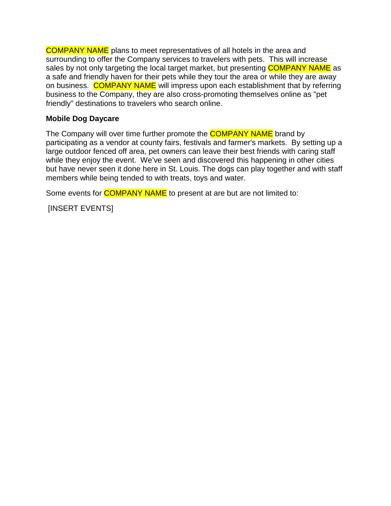COMPANY NAME plans to meet representatives of all hotels in the area and surrounding to offer the Company services to travelers with pets. This will increase sales by not only targeting the local target market, but presenting **COMPANY NAME** as a safe and friendly haven for their pets while they tour the area or while they are away on business. COMPANY NAME will impress upon each establishment that by referring business to the Company, they are also cross-promoting themselves online as "pet friendly" destinations to travelers who search online.

# **Mobile Dog Daycare**

The Company will over time further promote the **COMPANY NAME** brand by participating as a vendor at county fairs, festivals and farmer's markets. By setting up a large outdoor fenced off area, pet owners can leave their best friends with caring staff while they enjoy the event. We've seen and discovered this happening in other cities but have never seen it done here in St. Louis. The dogs can play together and with staff members while being tended to with treats, toys and water.

Some events for **COMPANY NAME** to present at are but are not limited to:

<span id="page-48-0"></span>[INSERT EVENTS]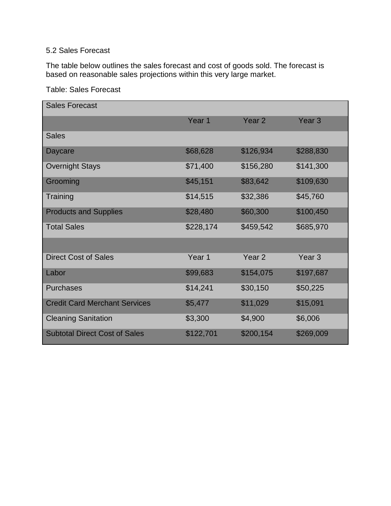# 5.2 Sales Forecast

The table below outlines the sales forecast and cost of goods sold. The forecast is based on reasonable sales projections within this very large market.

<span id="page-49-0"></span>Table: Sales Forecast

| <b>Sales Forecast</b>                |                   |                   |                   |
|--------------------------------------|-------------------|-------------------|-------------------|
|                                      | Year <sub>1</sub> | Year 2            | Year <sub>3</sub> |
| <b>Sales</b>                         |                   |                   |                   |
| <b>Daycare</b>                       | \$68,628          | \$126,934         | \$288,830         |
| <b>Overnight Stays</b>               | \$71,400          | \$156,280         | \$141,300         |
| Grooming                             | \$45,151          | \$83,642          | \$109,630         |
| Training                             | \$14,515          | \$32,386          | \$45,760          |
| <b>Products and Supplies</b>         | \$28,480          | \$60,300          | \$100,450         |
| <b>Total Sales</b>                   | \$228,174         | \$459,542         | \$685,970         |
|                                      |                   |                   |                   |
| <b>Direct Cost of Sales</b>          | Year <sub>1</sub> | Year <sub>2</sub> | Year <sub>3</sub> |
| Labor                                | \$99,683          | \$154,075         | \$197,687         |
| <b>Purchases</b>                     | \$14,241          | \$30,150          | \$50,225          |
| <b>Credit Card Merchant Services</b> | \$5,477           | \$11,029          | \$15,091          |
| <b>Cleaning Sanitation</b>           | \$3,300           | \$4,900           | \$6,006           |
| <b>Subtotal Direct Cost of Sales</b> | \$122,701         | \$200,154         | \$269,009         |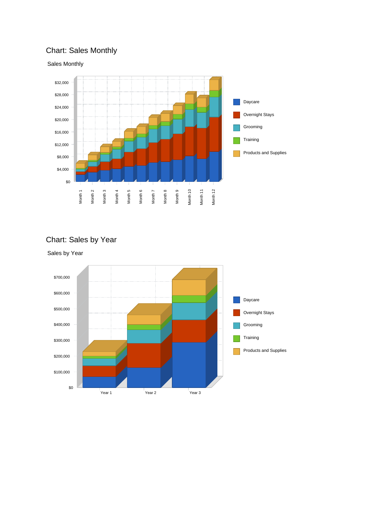# <span id="page-50-0"></span>Chart: Sales Monthly





# <span id="page-50-1"></span>Chart: Sales by Year



Sales by Year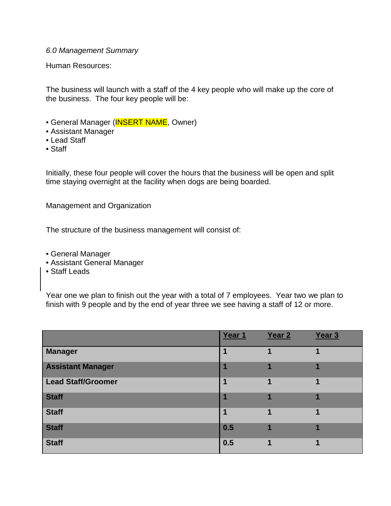### <span id="page-51-0"></span>*6.0 Management Summary*

Human Resources:

The business will launch with a staff of the 4 key people who will make up the core of the business. The four key people will be:

- General Manager (INSERT NAME, Owner)
- Assistant Manager
- Lead Staff
- Staff

Initially, these four people will cover the hours that the business will be open and split time staying overnight at the facility when dogs are being boarded.

Management and Organization

The structure of the business management will consist of:

- General Manager
- Assistant General Manager
- Staff Leads

Year one we plan to finish out the year with a total of 7 employees. Year two we plan to finish with 9 people and by the end of year three we see having a staff of 12 or more.

|                           | Year 1 | Year <sub>2</sub> | Year <sub>3</sub> |
|---------------------------|--------|-------------------|-------------------|
| <b>Manager</b>            |        |                   |                   |
| <b>Assistant Manager</b>  |        |                   |                   |
| <b>Lead Staff/Groomer</b> |        | 1                 |                   |
| Staff                     |        |                   |                   |
| <b>Staff</b>              |        |                   |                   |
| <b>Staff</b>              | 0.5    |                   |                   |
| <b>Staff</b>              | 0.5    | 1                 |                   |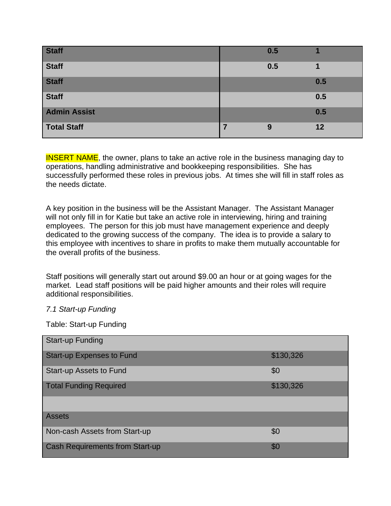| <b>Staff</b>        |   | 0.5 |     |
|---------------------|---|-----|-----|
| Staff               |   | 0.5 |     |
| <b>Staff</b>        |   |     | 0.5 |
| Staff               |   |     | 0.5 |
| <b>Admin Assist</b> |   |     | 0.5 |
| <b>Total Staff</b>  | 7 | 9   | 12  |

**INSERT NAME**, the owner, plans to take an active role in the business managing day to operations, handling administrative and bookkeeping responsibilities. She has successfully performed these roles in previous jobs. At times she will fill in staff roles as the needs dictate.

A key position in the business will be the Assistant Manager. The Assistant Manager will not only fill in for Katie but take an active role in interviewing, hiring and training employees. The person for this job must have management experience and deeply dedicated to the growing success of the company. The idea is to provide a salary to this employee with incentives to share in profits to make them mutually accountable for the overall profits of the business.

Staff positions will generally start out around \$9.00 an hour or at going wages for the market. Lead staff positions will be paid higher amounts and their roles will require additional responsibilities.

## <span id="page-52-0"></span>*7.1 Start-up Funding*

<span id="page-52-1"></span>Table: Start-up Funding

| <b>Start-up Funding</b>                |           |
|----------------------------------------|-----------|
| <b>Start-up Expenses to Fund</b>       | \$130,326 |
| <b>Start-up Assets to Fund</b>         | \$0       |
| <b>Total Funding Required</b>          | \$130,326 |
|                                        |           |
| <b>Assets</b>                          |           |
| Non-cash Assets from Start-up          | \$0       |
| <b>Cash Requirements from Start-up</b> | \$0       |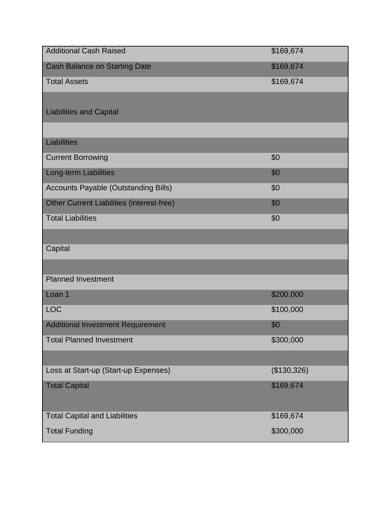| <b>Additional Cash Raised</b>                    | \$169,674   |
|--------------------------------------------------|-------------|
| <b>Cash Balance on Starting Date</b>             | \$169,674   |
| <b>Total Assets</b>                              | \$169,674   |
|                                                  |             |
| <b>Liabilities and Capital</b>                   |             |
|                                                  |             |
| <b>Liabilities</b>                               |             |
| <b>Current Borrowing</b>                         | \$0         |
| Long-term Liabilities                            | \$0         |
| <b>Accounts Payable (Outstanding Bills)</b>      | \$0         |
| <b>Other Current Liabilities (interest-free)</b> | \$0         |
| <b>Total Liabilities</b>                         | \$0         |
|                                                  |             |
| Capital                                          |             |
|                                                  |             |
| <b>Planned Investment</b>                        |             |
| Loan 1                                           | \$200,000   |
| <b>LOC</b>                                       | \$100,000   |
| <b>Additional Investment Requirement</b>         | \$0         |
| <b>Total Planned Investment</b>                  | \$300,000   |
|                                                  |             |
| Loss at Start-up (Start-up Expenses)             | (\$130,326) |
| <b>Total Capital</b>                             | \$169,674   |
|                                                  |             |
| <b>Total Capital and Liabilities</b>             | \$169,674   |
| <b>Total Funding</b>                             | \$300,000   |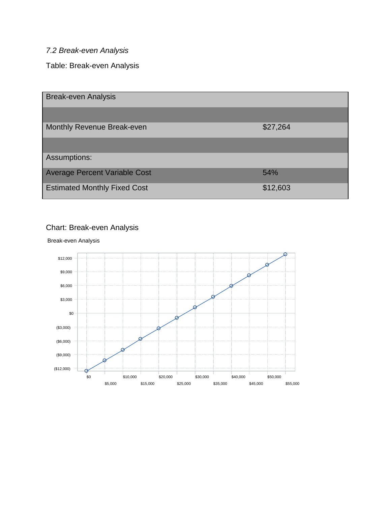# <span id="page-54-0"></span>*7.2 Break-even Analysis*

<span id="page-54-1"></span>Table: Break-even Analysis

| <b>Break-even Analysis</b>          |          |
|-------------------------------------|----------|
|                                     |          |
| Monthly Revenue Break-even          | \$27,264 |
|                                     |          |
| Assumptions:                        |          |
| Average Percent Variable Cost       | 54%      |
| <b>Estimated Monthly Fixed Cost</b> | \$12,603 |

# <span id="page-54-2"></span>Chart: Break-even Analysis

Break-even Analysis

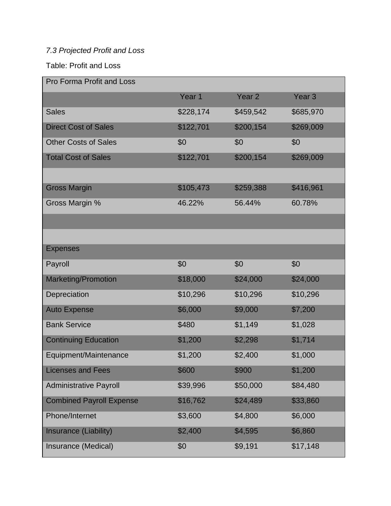# <span id="page-55-0"></span>*7.3 Projected Profit and Loss*

<span id="page-55-1"></span>Table: Profit and Loss

| <b>Pro Forma Profit and Loss</b> |                   |                   |                   |
|----------------------------------|-------------------|-------------------|-------------------|
|                                  | Year <sub>1</sub> | Year <sub>2</sub> | Year <sub>3</sub> |
| <b>Sales</b>                     | \$228,174         | \$459,542         | \$685,970         |
| <b>Direct Cost of Sales</b>      | \$122,701         | \$200,154         | \$269,009         |
| <b>Other Costs of Sales</b>      | \$0               | \$0               | \$0               |
| <b>Total Cost of Sales</b>       | \$122,701         | \$200,154         | \$269,009         |
|                                  |                   |                   |                   |
| <b>Gross Margin</b>              | \$105,473         | \$259,388         | \$416,961         |
| Gross Margin %                   | 46.22%            | 56.44%            | 60.78%            |
|                                  |                   |                   |                   |
|                                  |                   |                   |                   |
| <b>Expenses</b>                  |                   |                   |                   |
| Payroll                          | \$0               | \$0               | \$0               |
| <b>Marketing/Promotion</b>       | \$18,000          | \$24,000          | \$24,000          |
| Depreciation                     | \$10,296          | \$10,296          | \$10,296          |
| <b>Auto Expense</b>              | \$6,000           | \$9,000           | \$7,200           |
| <b>Bank Service</b>              | \$480             | \$1,149           | \$1,028           |
| <b>Continuing Education</b>      | \$1,200           | \$2,298           | \$1,714           |
| Equipment/Maintenance            | \$1,200           | \$2,400           | \$1,000           |
| <b>Licenses and Fees</b>         | \$600             | \$900             | \$1,200           |
| <b>Administrative Payroll</b>    | \$39,996          | \$50,000          | \$84,480          |
| <b>Combined Payroll Expense</b>  | \$16,762          | \$24,489          | \$33,860          |
| Phone/Internet                   | \$3,600           | \$4,800           | \$6,000           |
| Insurance (Liability)            | \$2,400           | \$4,595           | \$6,860           |
| Insurance (Medical)              | \$0               | \$9,191           | \$17,148          |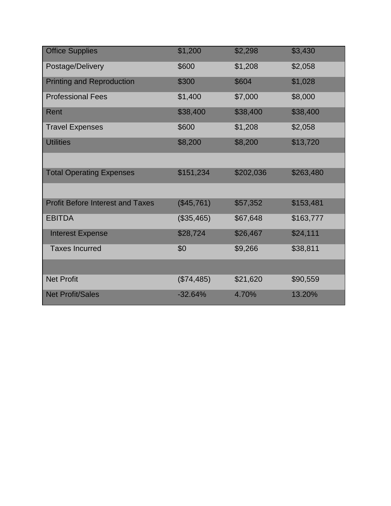| <b>Office Supplies</b>                  | \$1,200    | \$2,298   | \$3,430   |
|-----------------------------------------|------------|-----------|-----------|
| Postage/Delivery                        | \$600      | \$1,208   | \$2,058   |
| <b>Printing and Reproduction</b>        | \$300      | \$604     | \$1,028   |
| <b>Professional Fees</b>                | \$1,400    | \$7,000   | \$8,000   |
| Rent                                    | \$38,400   | \$38,400  | \$38,400  |
| <b>Travel Expenses</b>                  | \$600      | \$1,208   | \$2,058   |
| <b>Utilities</b>                        | \$8,200    | \$8,200   | \$13,720  |
|                                         |            |           |           |
| <b>Total Operating Expenses</b>         | \$151,234  | \$202,036 | \$263,480 |
|                                         |            |           |           |
| <b>Profit Before Interest and Taxes</b> | (\$45,761) | \$57,352  | \$153,481 |
| <b>EBITDA</b>                           | (\$35,465) | \$67,648  | \$163,777 |
| <b>Interest Expense</b>                 | \$28,724   | \$26,467  | \$24,111  |
| <b>Taxes Incurred</b>                   | \$0        | \$9,266   | \$38,811  |
|                                         |            |           |           |
| <b>Net Profit</b>                       | (\$74,485) | \$21,620  | \$90,559  |
| <b>Net Profit/Sales</b>                 | $-32.64%$  | 4.70%     | 13.20%    |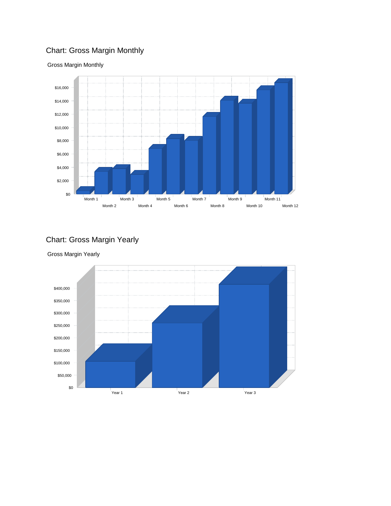# <span id="page-57-0"></span>Chart: Gross Margin Monthly



Gross Margin Monthly

# <span id="page-57-1"></span>Chart: Gross Margin Yearly



Gross Margin Yearly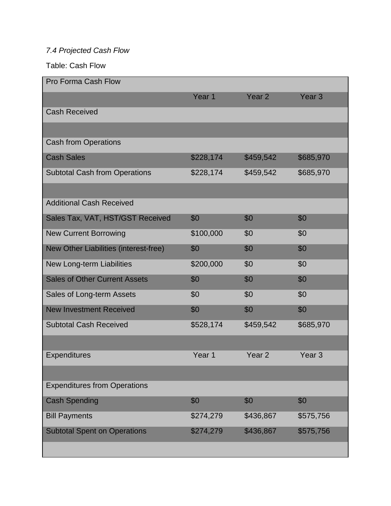# <span id="page-58-0"></span>*7.4 Projected Cash Flow*

<span id="page-58-1"></span>Table: Cash Flow

| Pro Forma Cash Flow                          |                   |                   |                   |
|----------------------------------------------|-------------------|-------------------|-------------------|
|                                              | Year <sub>1</sub> | Year <sub>2</sub> | Year <sub>3</sub> |
| <b>Cash Received</b>                         |                   |                   |                   |
|                                              |                   |                   |                   |
| <b>Cash from Operations</b>                  |                   |                   |                   |
| <b>Cash Sales</b>                            | \$228,174         | \$459,542         | \$685,970         |
| <b>Subtotal Cash from Operations</b>         | \$228,174         | \$459,542         | \$685,970         |
|                                              |                   |                   |                   |
| <b>Additional Cash Received</b>              |                   |                   |                   |
| Sales Tax, VAT, HST/GST Received             | \$0               | \$0               | \$0               |
| <b>New Current Borrowing</b>                 | \$100,000         | \$0               | \$0               |
| <b>New Other Liabilities (interest-free)</b> | \$0               | \$0               | \$0               |
| New Long-term Liabilities                    | \$200,000         | \$0               | \$0               |
| <b>Sales of Other Current Assets</b>         | \$0               | \$0               | \$0               |
| Sales of Long-term Assets                    | \$0               | \$0               | \$0               |
| <b>New Investment Received</b>               | \$0               | \$0               | \$0               |
| <b>Subtotal Cash Received</b>                | \$528,174         | \$459,542         | \$685,970         |
|                                              |                   |                   |                   |
| <b>Expenditures</b>                          | Year <sub>1</sub> | Year <sub>2</sub> | Year <sub>3</sub> |
|                                              |                   |                   |                   |
| <b>Expenditures from Operations</b>          |                   |                   |                   |
| <b>Cash Spending</b>                         | \$0               | \$0               | \$0               |
| <b>Bill Payments</b>                         | \$274,279         | \$436,867         | \$575,756         |
| <b>Subtotal Spent on Operations</b>          | \$274,279         | \$436,867         | \$575,756         |
|                                              |                   |                   |                   |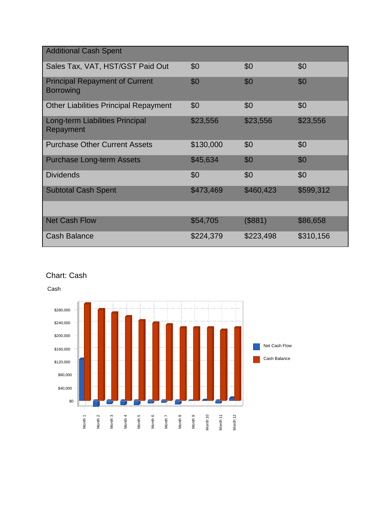| <b>Additional Cash Spent</b>                              |           |           |           |
|-----------------------------------------------------------|-----------|-----------|-----------|
| Sales Tax, VAT, HST/GST Paid Out                          | \$0       | \$0       | \$0       |
| <b>Principal Repayment of Current</b><br><b>Borrowing</b> | \$0       | \$0       | \$0       |
| <b>Other Liabilities Principal Repayment</b>              | \$0       | \$0       | \$0       |
| Long-term Liabilities Principal<br>Repayment              | \$23,556  | \$23,556  | \$23,556  |
| <b>Purchase Other Current Assets</b>                      | \$130,000 | \$0       | \$0       |
| <b>Purchase Long-term Assets</b>                          | \$45,634  | \$0       | \$0       |
| <b>Dividends</b>                                          | \$0       | \$0       | \$0       |
| <b>Subtotal Cash Spent</b>                                | \$473,469 | \$460,423 | \$599,312 |
|                                                           |           |           |           |
| <b>Net Cash Flow</b>                                      | \$54,705  | (\$881)   | \$86,658  |
| <b>Cash Balance</b>                                       | \$224,379 | \$223,498 | \$310,156 |



# <span id="page-59-0"></span>Chart: Cash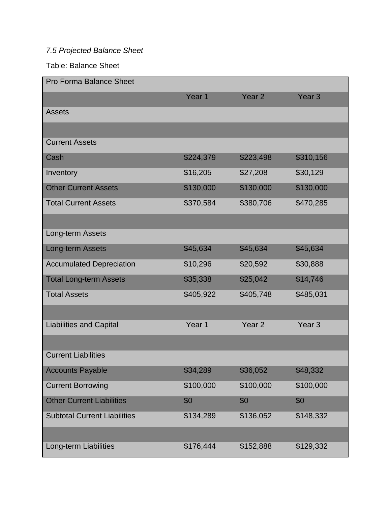# <span id="page-60-0"></span>*7.5 Projected Balance Sheet*

<span id="page-60-1"></span>Table: Balance Sheet

| <b>Pro Forma Balance Sheet</b>      |                   |                   |                   |
|-------------------------------------|-------------------|-------------------|-------------------|
|                                     | Year <sub>1</sub> | Year <sub>2</sub> | Year <sub>3</sub> |
| <b>Assets</b>                       |                   |                   |                   |
|                                     |                   |                   |                   |
| <b>Current Assets</b>               |                   |                   |                   |
| Cash                                | \$224,379         | \$223,498         | \$310,156         |
| Inventory                           | \$16,205          | \$27,208          | \$30,129          |
| <b>Other Current Assets</b>         | \$130,000         | \$130,000         | \$130,000         |
| <b>Total Current Assets</b>         | \$370,584         | \$380,706         | \$470,285         |
|                                     |                   |                   |                   |
| Long-term Assets                    |                   |                   |                   |
| Long-term Assets                    | \$45,634          | \$45,634          | \$45,634          |
| <b>Accumulated Depreciation</b>     | \$10,296          | \$20,592          | \$30,888          |
| <b>Total Long-term Assets</b>       | \$35,338          | \$25,042          | \$14,746          |
| <b>Total Assets</b>                 | \$405,922         | \$405,748         | \$485,031         |
|                                     |                   |                   |                   |
| <b>Liabilities and Capital</b>      | Year <sub>1</sub> | Year <sub>2</sub> | Year <sub>3</sub> |
|                                     |                   |                   |                   |
| <b>Current Liabilities</b>          |                   |                   |                   |
| <b>Accounts Payable</b>             | \$34,289          | \$36,052          | \$48,332          |
| <b>Current Borrowing</b>            | \$100,000         | \$100,000         | \$100,000         |
| <b>Other Current Liabilities</b>    | \$0               | \$0               | \$0               |
| <b>Subtotal Current Liabilities</b> | \$134,289         | \$136,052         | \$148,332         |
|                                     |                   |                   |                   |
| Long-term Liabilities               | \$176,444         | \$152,888         | \$129,332         |